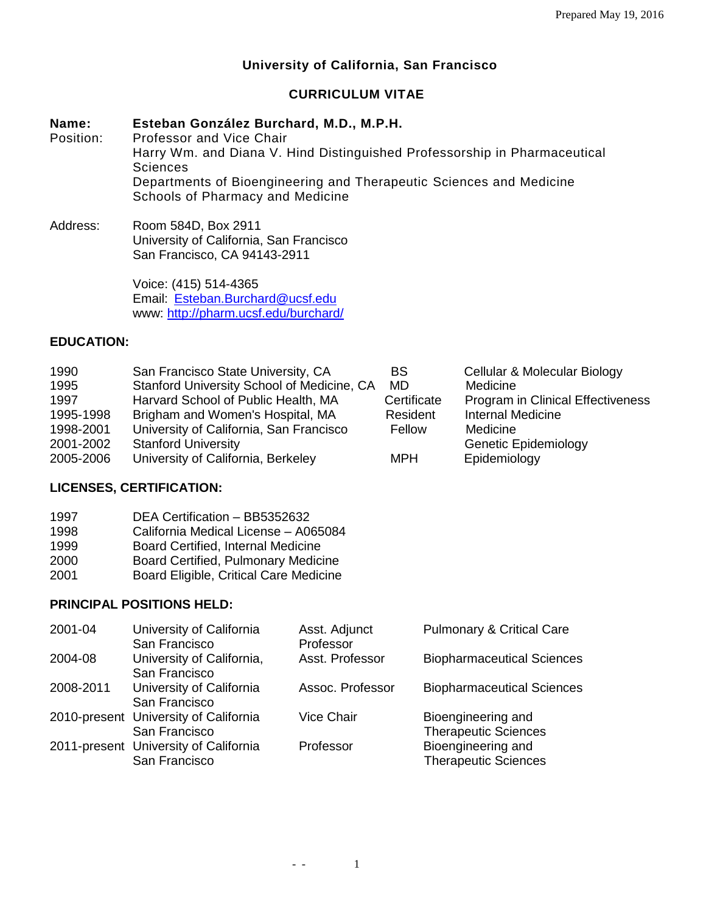# **University of California, San Francisco**

## **CURRICULUM VITAE**

# **Name: Esteban González Burchard, M.D., M.P.H.**

Position: Professor and Vice Chair Harry Wm. and Diana V. Hind Distinguished Professorship in Pharmaceutical **Sciences** Departments of Bioengineering and Therapeutic Sciences and Medicine Schools of Pharmacy and Medicine

Address: Room 584D, Box 2911 University of California, San Francisco San Francisco, CA 94143-2911

> Voice: (415) 514-4365 Email: [Esteban.Burchard@ucsf.edu](mailto:Esteban.Burchard@ucsf.edu) www:<http://pharm.ucsf.edu/burchard/>

## **EDUCATION:**

| 1990      | San Francisco State University, CA         | <b>BS</b>   | Cellular & Molecular Biology      |
|-----------|--------------------------------------------|-------------|-----------------------------------|
| 1995      | Stanford University School of Medicine, CA | MD          | Medicine                          |
| 1997      | Harvard School of Public Health, MA        | Certificate | Program in Clinical Effectiveness |
| 1995-1998 | Brigham and Women's Hospital, MA           | Resident    | <b>Internal Medicine</b>          |
| 1998-2001 | University of California, San Francisco    | Fellow      | Medicine                          |
| 2001-2002 | <b>Stanford University</b>                 |             | <b>Genetic Epidemiology</b>       |
| 2005-2006 | University of California, Berkeley         | <b>MPH</b>  | Epidemiology                      |

## **LICENSES, CERTIFICATION:**

- 1997 DEA Certification BB5352632
- 1998 California Medical License A065084
- 1999 Board Certified, Internal Medicine
- 2000 Board Certified, Pulmonary Medicine
- 2001 Board Eligible, Critical Care Medicine

# **PRINCIPAL POSITIONS HELD:**

| 2001-04   | University of California<br>San Francisco              | Asst. Adjunct<br>Professor | <b>Pulmonary &amp; Critical Care</b>              |
|-----------|--------------------------------------------------------|----------------------------|---------------------------------------------------|
| 2004-08   | University of California,<br>San Francisco             | Asst. Professor            | <b>Biopharmaceutical Sciences</b>                 |
| 2008-2011 | University of California<br>San Francisco              | Assoc. Professor           | <b>Biopharmaceutical Sciences</b>                 |
|           | 2010-present University of California<br>San Francisco | <b>Vice Chair</b>          | Bioengineering and<br><b>Therapeutic Sciences</b> |
|           | 2011-present University of California<br>San Francisco | Professor                  | Bioengineering and<br><b>Therapeutic Sciences</b> |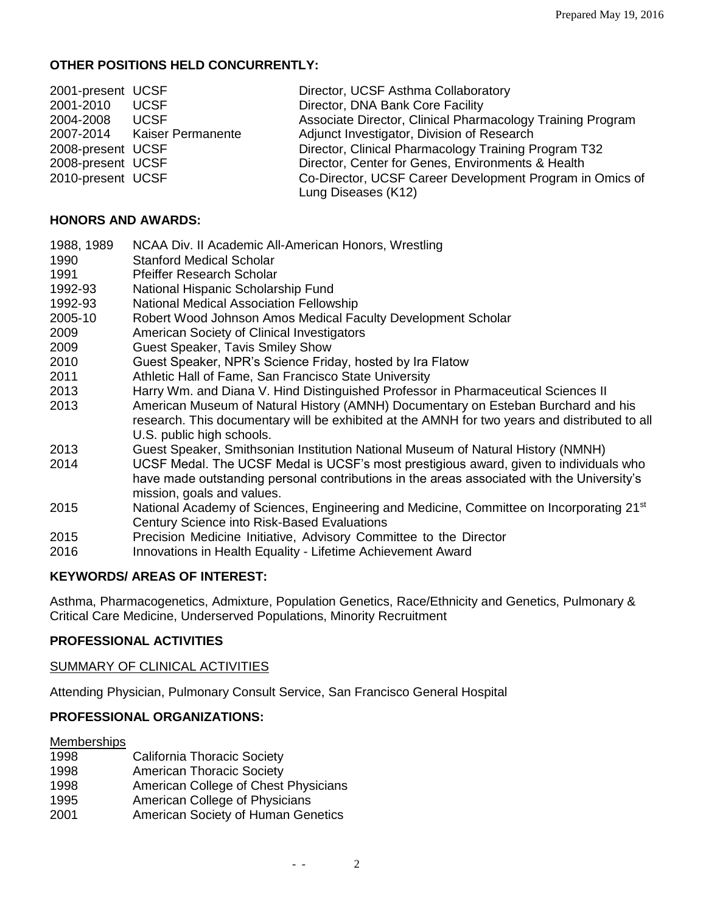# **OTHER POSITIONS HELD CONCURRENTLY:**

| 2001-present UCSF |                   | Director, UCSF Asthma Collaboratory                                             |
|-------------------|-------------------|---------------------------------------------------------------------------------|
| 2001-2010         | <b>UCSF</b>       | Director, DNA Bank Core Facility                                                |
| 2004-2008         | <b>UCSF</b>       | Associate Director, Clinical Pharmacology Training Program                      |
| 2007-2014         | Kaiser Permanente | Adjunct Investigator, Division of Research                                      |
| 2008-present UCSF |                   | Director, Clinical Pharmacology Training Program T32                            |
| 2008-present UCSF |                   | Director, Center for Genes, Environments & Health                               |
| 2010-present UCSF |                   | Co-Director, UCSF Career Development Program in Omics of<br>Lung Diseases (K12) |

#### **HONORS AND AWARDS:**

- 1988, 1989 NCAA Div. II Academic All-American Honors, Wrestling
- 1990 Stanford Medical Scholar
- 1991 Pfeiffer Research Scholar
- 1992-93 National Hispanic Scholarship Fund
- 1992-93 National Medical Association Fellowship
- 2005-10 Robert Wood Johnson Amos Medical Faculty Development Scholar
- 2009 American Society of Clinical Investigators
- 2009 Guest Speaker, Tavis Smiley Show
- 2010 Guest Speaker, NPR's Science Friday, hosted by Ira Flatow
- 2011 Athletic Hall of Fame, San Francisco State University
- 2013 Harry Wm. and Diana V. Hind Distinguished Professor in Pharmaceutical Sciences II
- 2013 American Museum of Natural History (AMNH) Documentary on Esteban Burchard and his research. This documentary will be exhibited at the AMNH for two years and distributed to all U.S. public high schools.
- 2013 Guest Speaker, Smithsonian Institution National Museum of Natural History (NMNH)
- 2014 UCSF Medal. The UCSF Medal is UCSF's most prestigious award, given to individuals who have made outstanding personal contributions in the areas associated with the University's mission, goals and values.
- 2015 National Academy of Sciences, Engineering and Medicine, Committee on Incorporating 21<sup>st</sup> Century Science into Risk-Based Evaluations
- 2015 Precision Medicine Initiative, Advisory Committee to the Director
- 2016 Innovations in Health Equality Lifetime Achievement Award

# **KEYWORDS/ AREAS OF INTEREST:**

Asthma, Pharmacogenetics, Admixture, Population Genetics, Race/Ethnicity and Genetics, Pulmonary & Critical Care Medicine, Underserved Populations, Minority Recruitment

# **PROFESSIONAL ACTIVITIES**

SUMMARY OF CLINICAL ACTIVITIES

Attending Physician, Pulmonary Consult Service, San Francisco General Hospital

## **PROFESSIONAL ORGANIZATIONS:**

#### **Memberships**

- 1998 California Thoracic Society
- 1998 American Thoracic Society
- 1998 American College of Chest Physicians
- 1995 American College of Physicians
- 2001 American Society of Human Genetics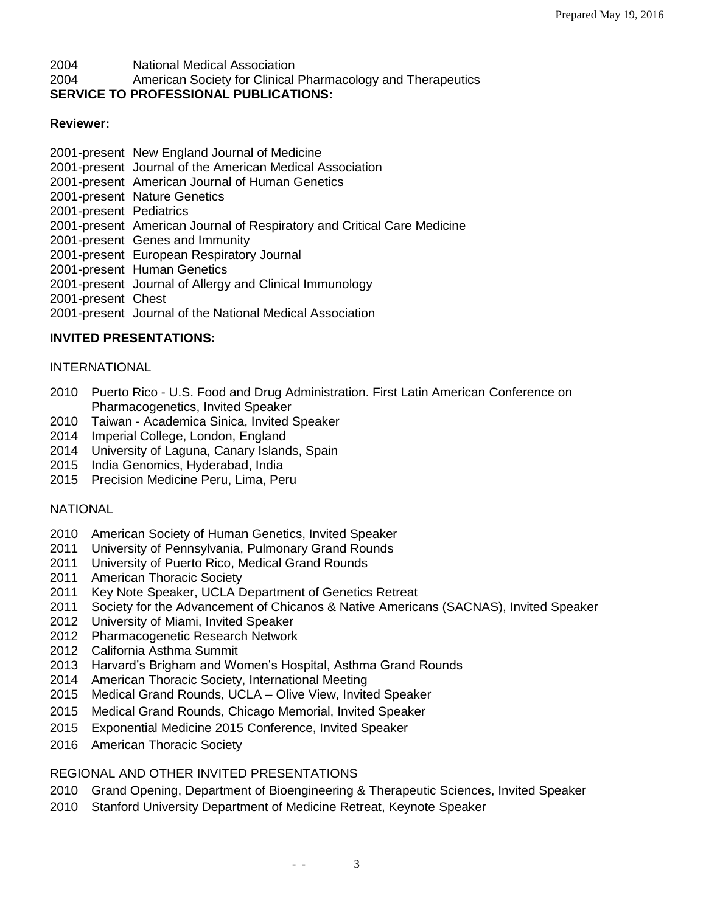#### 2004 National Medical Association

2004 American Society for Clinical Pharmacology and Therapeutics

#### **SERVICE TO PROFESSIONAL PUBLICATIONS:**

#### **Reviewer:**

- 2001-present New England Journal of Medicine
- 2001-present Journal of the American Medical Association
- 2001-present American Journal of Human Genetics
- 2001-present Nature Genetics
- 2001-present Pediatrics
- 2001-present American Journal of Respiratory and Critical Care Medicine
- 2001-present Genes and Immunity
- 2001-present European Respiratory Journal
- 2001-present Human Genetics
- 2001-present Journal of Allergy and Clinical Immunology
- 2001-present Chest
- 2001-present Journal of the National Medical Association

## **INVITED PRESENTATIONS:**

#### INTERNATIONAL

- 2010 Puerto Rico U.S. Food and Drug Administration. First Latin American Conference on Pharmacogenetics, Invited Speaker
- 2010 Taiwan Academica Sinica, Invited Speaker
- 2014 Imperial College, London, England
- 2014 University of Laguna, Canary Islands, Spain
- 2015 India Genomics, Hyderabad, India
- 2015 Precision Medicine Peru, Lima, Peru

#### **NATIONAL**

- 2010 American Society of Human Genetics, Invited Speaker
- 2011 University of Pennsylvania, Pulmonary Grand Rounds
- 2011 University of Puerto Rico, Medical Grand Rounds
- 2011 American Thoracic Society
- 2011 Key Note Speaker, UCLA Department of Genetics Retreat
- 2011 Society for the Advancement of Chicanos & Native Americans (SACNAS), Invited Speaker
- 2012 University of Miami, Invited Speaker
- 2012 Pharmacogenetic Research Network
- 2012 California Asthma Summit
- 2013 Harvard's Brigham and Women's Hospital, Asthma Grand Rounds
- 2014 American Thoracic Society, International Meeting
- 2015 Medical Grand Rounds, UCLA Olive View, Invited Speaker
- 2015 Medical Grand Rounds, Chicago Memorial, Invited Speaker
- 2015 Exponential Medicine 2015 Conference, Invited Speaker
- 2016 American Thoracic Society

# REGIONAL AND OTHER INVITED PRESENTATIONS

- 2010 Grand Opening, Department of Bioengineering & Therapeutic Sciences, Invited Speaker
- 2010 Stanford University Department of Medicine Retreat, Keynote Speaker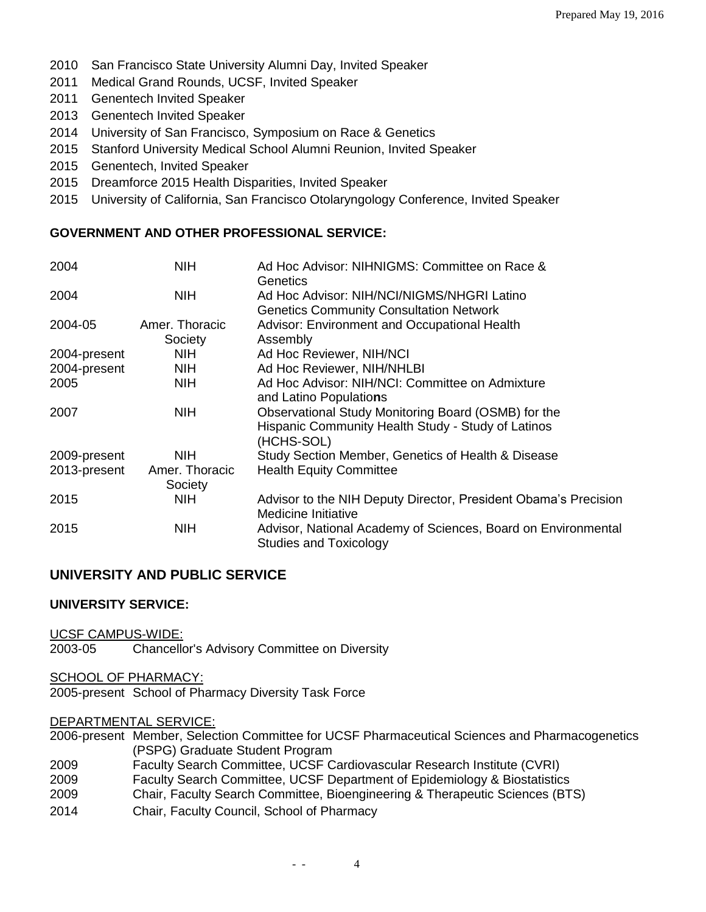- 2010 San Francisco State University Alumni Day, Invited Speaker
- 2011 Medical Grand Rounds, UCSF, Invited Speaker
- 2011 Genentech Invited Speaker
- 2013 Genentech Invited Speaker
- 2014 University of San Francisco, Symposium on Race & Genetics
- 2015 Stanford University Medical School Alumni Reunion, Invited Speaker
- 2015 Genentech, Invited Speaker
- 2015 Dreamforce 2015 Health Disparities, Invited Speaker
- 2015 University of California, San Francisco Otolaryngology Conference, Invited Speaker

#### **GOVERNMENT AND OTHER PROFESSIONAL SERVICE:**

| 2004         | <b>NIH</b>     | Ad Hoc Advisor: NIHNIGMS: Committee on Race &<br>Genetics                                                               |
|--------------|----------------|-------------------------------------------------------------------------------------------------------------------------|
| 2004         | <b>NIH</b>     | Ad Hoc Advisor: NIH/NCI/NIGMS/NHGRI Latino<br><b>Genetics Community Consultation Network</b>                            |
| 2004-05      | Amer. Thoracic | Advisor: Environment and Occupational Health                                                                            |
|              | Society        | Assembly                                                                                                                |
| 2004-present | NIH.           | Ad Hoc Reviewer, NIH/NCI                                                                                                |
| 2004-present | <b>NIH</b>     | Ad Hoc Reviewer, NIH/NHLBI                                                                                              |
| 2005         | NIH.           | Ad Hoc Advisor: NIH/NCI: Committee on Admixture                                                                         |
|              |                | and Latino Populations                                                                                                  |
| 2007         | NIH.           | Observational Study Monitoring Board (OSMB) for the<br>Hispanic Community Health Study - Study of Latinos<br>(HCHS-SOL) |
| 2009-present | <b>NIH</b>     | Study Section Member, Genetics of Health & Disease                                                                      |
| 2013-present | Amer. Thoracic | <b>Health Equity Committee</b>                                                                                          |
|              | Society        |                                                                                                                         |
| 2015         | <b>NIH</b>     | Advisor to the NIH Deputy Director, President Obama's Precision<br>Medicine Initiative                                  |
| 2015         | <b>NIH</b>     | Advisor, National Academy of Sciences, Board on Environmental<br><b>Studies and Toxicology</b>                          |

## **UNIVERSITY AND PUBLIC SERVICE**

## **UNIVERSITY SERVICE:**

UCSF CAMPUS-WIDE: 2003-05 Chancellor's Advisory Committee on Diversity

#### SCHOOL OF PHARMACY:

2005-present School of Pharmacy Diversity Task Force

## DEPARTMENTAL SERVICE:

2006-present Member, Selection Committee for UCSF Pharmaceutical Sciences and Pharmacogenetics (PSPG) Graduate Student Program

- 2009 Faculty Search Committee, UCSF Cardiovascular Research Institute (CVRI)
- 2009 Faculty Search Committee, UCSF Department of Epidemiology & Biostatistics
- 2009 Chair, Faculty Search Committee, Bioengineering & Therapeutic Sciences (BTS)
- 2014 Chair, Faculty Council, School of Pharmacy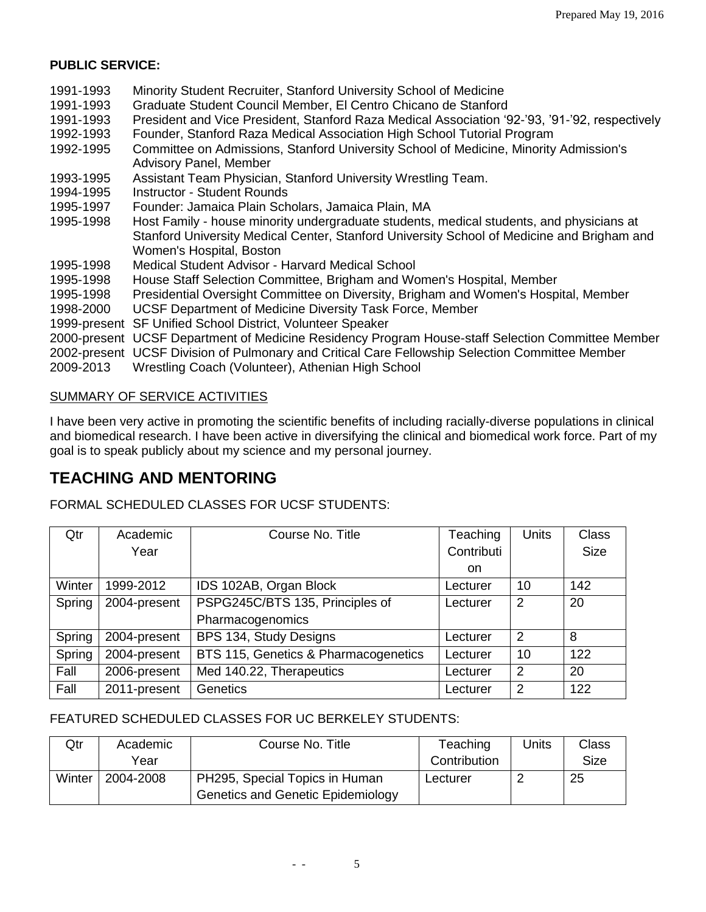# **PUBLIC SERVICE:**

- 1991-1993 Minority Student Recruiter, Stanford University School of Medicine
- 1991-1993 Graduate Student Council Member, El Centro Chicano de Stanford
- 1991-1993 President and Vice President, Stanford Raza Medical Association '92-'93, '91-'92, respectively
- 1992-1993 Founder, Stanford Raza Medical Association High School Tutorial Program
- 1992-1995 Committee on Admissions, Stanford University School of Medicine, Minority Admission's Advisory Panel, Member
- 1993-1995 Assistant Team Physician, Stanford University Wrestling Team.
- 1994-1995 Instructor Student Rounds
- 1995-1997 Founder: Jamaica Plain Scholars, Jamaica Plain, MA
- 1995-1998 Host Family house minority undergraduate students, medical students, and physicians at Stanford University Medical Center, Stanford University School of Medicine and Brigham and Women's Hospital, Boston
- 1995-1998 Medical Student Advisor Harvard Medical School
- 1995-1998 House Staff Selection Committee, Brigham and Women's Hospital, Member
- 1995-1998 Presidential Oversight Committee on Diversity, Brigham and Women's Hospital, Member
- 1998-2000 UCSF Department of Medicine Diversity Task Force, Member
- 1999-present SF Unified School District, Volunteer Speaker
- 2000-present UCSF Department of Medicine Residency Program House-staff Selection Committee Member
- 2002-present UCSF Division of Pulmonary and Critical Care Fellowship Selection Committee Member
- 2009-2013 Wrestling Coach (Volunteer), Athenian High School

# SUMMARY OF SERVICE ACTIVITIES

I have been very active in promoting the scientific benefits of including racially-diverse populations in clinical and biomedical research. I have been active in diversifying the clinical and biomedical work force. Part of my goal is to speak publicly about my science and my personal journey.

# **TEACHING AND MENTORING**

FORMAL SCHEDULED CLASSES FOR UCSF STUDENTS:

| Qtr    | Academic     | Course No. Title                     | Teaching   | <b>Units</b>   | <b>Class</b> |
|--------|--------------|--------------------------------------|------------|----------------|--------------|
|        | Year         |                                      | Contributi |                | <b>Size</b>  |
|        |              |                                      | on.        |                |              |
| Winter | 1999-2012    | IDS 102AB, Organ Block               | Lecturer   | 10             | 142          |
| Spring | 2004-present | PSPG245C/BTS 135, Principles of      | Lecturer   | 2              | 20           |
|        |              | Pharmacogenomics                     |            |                |              |
| Spring | 2004-present | BPS 134, Study Designs               | Lecturer   | 2              | 8            |
| Spring | 2004-present | BTS 115, Genetics & Pharmacogenetics | Lecturer   | 10             | 122          |
| Fall   | 2006-present | Med 140.22, Therapeutics             | Lecturer   | $\overline{2}$ | 20           |
| Fall   | 2011-present | Genetics                             | Lecturer   | $\overline{2}$ | 122          |

# FEATURED SCHEDULED CLASSES FOR UC BERKELEY STUDENTS:

| Qtr    | Academic  | Course No. Title                         | Teaching     | Jnits | <b>Class</b> |
|--------|-----------|------------------------------------------|--------------|-------|--------------|
|        | Year      |                                          | Contribution |       | Size         |
| Winter | 2004-2008 | PH295, Special Topics in Human           | Lecturer     |       | 25           |
|        |           | <b>Genetics and Genetic Epidemiology</b> |              |       |              |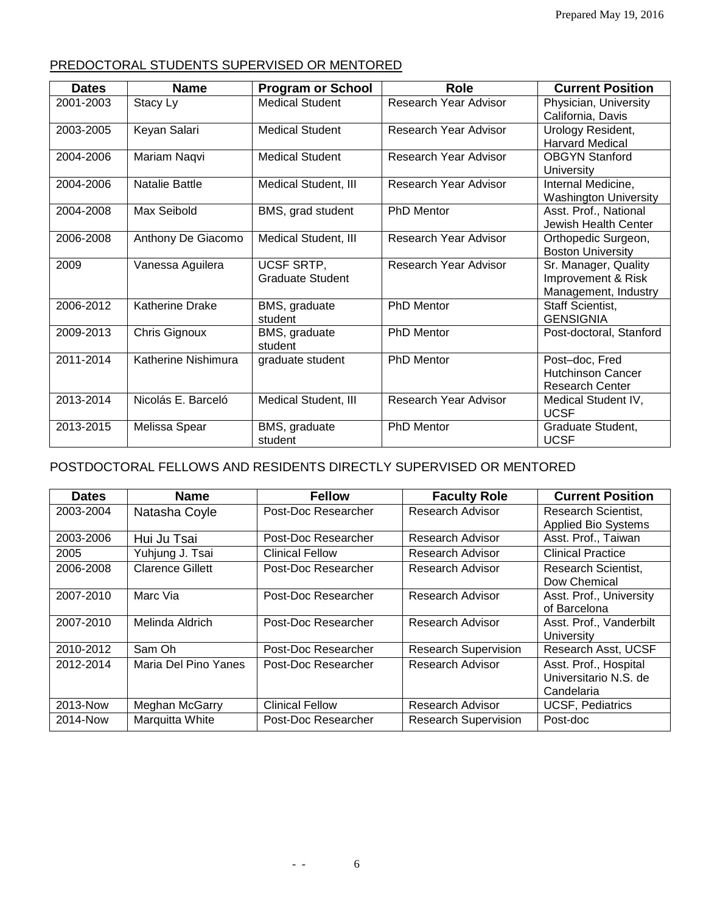| <b>Dates</b> | <b>Name</b>            | <b>Program or School</b>       | <b>Role</b>                  | <b>Current Position</b>                                              |
|--------------|------------------------|--------------------------------|------------------------------|----------------------------------------------------------------------|
| 2001-2003    | Stacy Ly               | <b>Medical Student</b>         | Research Year Advisor        | Physician, University<br>California, Davis                           |
| 2003-2005    | Keyan Salari           | <b>Medical Student</b>         | Research Year Advisor        | Urology Resident,<br><b>Harvard Medical</b>                          |
| 2004-2006    | Mariam Naqvi           | <b>Medical Student</b>         | Research Year Advisor        | <b>OBGYN Stanford</b><br>University                                  |
| 2004-2006    | <b>Natalie Battle</b>  | Medical Student, III           | Research Year Advisor        | Internal Medicine,<br><b>Washington University</b>                   |
| 2004-2008    | Max Seibold            | BMS, grad student              | <b>PhD Mentor</b>            | Asst. Prof., National<br>Jewish Health Center                        |
| 2006-2008    | Anthony De Giacomo     | Medical Student, III           | Research Year Advisor        | Orthopedic Surgeon,<br><b>Boston University</b>                      |
| 2009         | Vanessa Aguilera       | UCSF SRTP,<br>Graduate Student | Research Year Advisor        | Sr. Manager, Quality<br>Improvement & Risk<br>Management, Industry   |
| 2006-2012    | <b>Katherine Drake</b> | BMS, graduate<br>student       | <b>PhD Mentor</b>            | Staff Scientist,<br><b>GENSIGNIA</b>                                 |
| 2009-2013    | Chris Gignoux          | BMS, graduate<br>student       | <b>PhD Mentor</b>            | Post-doctoral, Stanford                                              |
| 2011-2014    | Katherine Nishimura    | graduate student               | PhD Mentor                   | Post-doc, Fred<br><b>Hutchinson Cancer</b><br><b>Research Center</b> |
| 2013-2014    | Nicolás E. Barceló     | Medical Student, III           | <b>Research Year Advisor</b> | Medical Student IV,<br><b>UCSF</b>                                   |
| 2013-2015    | Melissa Spear          | BMS, graduate<br>student       | PhD Mentor                   | Graduate Student,<br><b>UCSF</b>                                     |

# PREDOCTORAL STUDENTS SUPERVISED OR MENTORED

# POSTDOCTORAL FELLOWS AND RESIDENTS DIRECTLY SUPERVISED OR MENTORED

| <b>Dates</b> | <b>Name</b>             | <b>Fellow</b>          | <b>Faculty Role</b>         | <b>Current Position</b>    |
|--------------|-------------------------|------------------------|-----------------------------|----------------------------|
| 2003-2004    | Natasha Coyle           | Post-Doc Researcher    | Research Advisor            | Research Scientist,        |
|              |                         |                        |                             | <b>Applied Bio Systems</b> |
| 2003-2006    | Hui Ju Tsai             | Post-Doc Researcher    | Research Advisor            | Asst. Prof., Taiwan        |
| 2005         | Yuhjung J. Tsai         | <b>Clinical Fellow</b> | Research Advisor            | <b>Clinical Practice</b>   |
| 2006-2008    | <b>Clarence Gillett</b> | Post-Doc Researcher    | Research Advisor            | Research Scientist,        |
|              |                         |                        |                             | Dow Chemical               |
| 2007-2010    | Marc Via                | Post-Doc Researcher    | Research Advisor            | Asst. Prof., University    |
|              |                         |                        |                             | of Barcelona               |
| 2007-2010    | Melinda Aldrich         | Post-Doc Researcher    | Research Advisor            | Asst. Prof., Vanderbilt    |
|              |                         |                        |                             | University                 |
| 2010-2012    | Sam Oh                  | Post-Doc Researcher    | <b>Research Supervision</b> | Research Asst, UCSF        |
| 2012-2014    | Maria Del Pino Yanes    | Post-Doc Researcher    | Research Advisor            | Asst. Prof., Hospital      |
|              |                         |                        |                             | Universitario N.S. de      |
|              |                         |                        |                             | Candelaria                 |
| 2013-Now     | <b>Meghan McGarry</b>   | <b>Clinical Fellow</b> | <b>Research Advisor</b>     | <b>UCSF, Pediatrics</b>    |
| 2014-Now     | Marquitta White         | Post-Doc Researcher    | <b>Research Supervision</b> | Post-doc                   |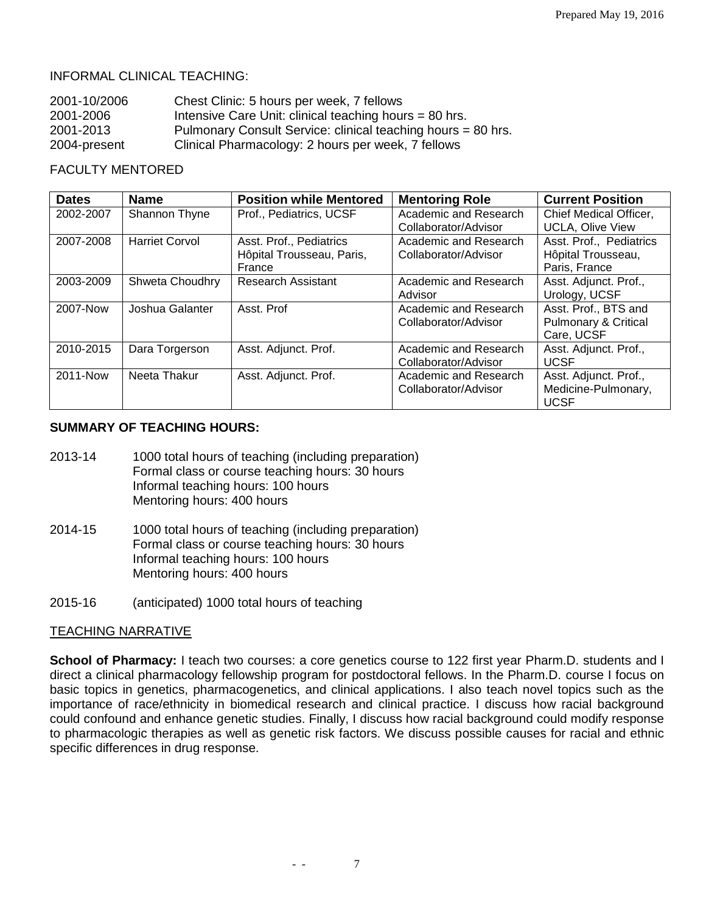INFORMAL CLINICAL TEACHING:

| 2001-10/2006 | Chest Clinic: 5 hours per week, 7 fellows                    |
|--------------|--------------------------------------------------------------|
| 2001-2006    | Intensive Care Unit: clinical teaching hours = 80 hrs.       |
| 2001-2013    | Pulmonary Consult Service: clinical teaching hours = 80 hrs. |
| 2004-present | Clinical Pharmacology: 2 hours per week, 7 fellows           |

#### FACULTY MENTORED

| <b>Dates</b> | <b>Name</b>           | <b>Position while Mentored</b> | <b>Mentoring Role</b> | <b>Current Position</b>         |
|--------------|-----------------------|--------------------------------|-----------------------|---------------------------------|
| 2002-2007    | Shannon Thyne         | Prof., Pediatrics, UCSF        | Academic and Research | Chief Medical Officer,          |
|              |                       |                                | Collaborator/Advisor  | <b>UCLA, Olive View</b>         |
| 2007-2008    | <b>Harriet Corvol</b> | Asst. Prof., Pediatrics        | Academic and Research | Asst. Prof., Pediatrics         |
|              |                       | Hôpital Trousseau, Paris,      | Collaborator/Advisor  | Hôpital Trousseau,              |
|              |                       | France                         |                       | Paris, France                   |
| 2003-2009    | Shweta Choudhry       | <b>Research Assistant</b>      | Academic and Research | Asst. Adjunct. Prof.,           |
|              |                       |                                | Advisor               | Urology, UCSF                   |
| 2007-Now     | Joshua Galanter       | Asst. Prof                     | Academic and Research | Asst. Prof., BTS and            |
|              |                       |                                | Collaborator/Advisor  | <b>Pulmonary &amp; Critical</b> |
|              |                       |                                |                       | Care, UCSF                      |
| 2010-2015    | Dara Torgerson        | Asst. Adjunct. Prof.           | Academic and Research | Asst. Adjunct. Prof.,           |
|              |                       |                                | Collaborator/Advisor  | <b>UCSF</b>                     |
| 2011-Now     | Neeta Thakur          | Asst. Adjunct. Prof.           | Academic and Research | Asst. Adjunct. Prof.,           |
|              |                       |                                | Collaborator/Advisor  | Medicine-Pulmonary,             |
|              |                       |                                |                       | <b>UCSF</b>                     |

#### **SUMMARY OF TEACHING HOURS:**

- 2013-14 1000 total hours of teaching (including preparation) Formal class or course teaching hours: 30 hours Informal teaching hours: 100 hours Mentoring hours: 400 hours
- 2014-15 1000 total hours of teaching (including preparation) Formal class or course teaching hours: 30 hours Informal teaching hours: 100 hours Mentoring hours: 400 hours
- 2015-16 (anticipated) 1000 total hours of teaching

## TEACHING NARRATIVE

**School of Pharmacy:** I teach two courses: a core genetics course to 122 first year Pharm.D. students and I direct a clinical pharmacology fellowship program for postdoctoral fellows. In the Pharm.D. course I focus on basic topics in genetics, pharmacogenetics, and clinical applications. I also teach novel topics such as the importance of race/ethnicity in biomedical research and clinical practice. I discuss how racial background could confound and enhance genetic studies. Finally, I discuss how racial background could modify response to pharmacologic therapies as well as genetic risk factors. We discuss possible causes for racial and ethnic specific differences in drug response.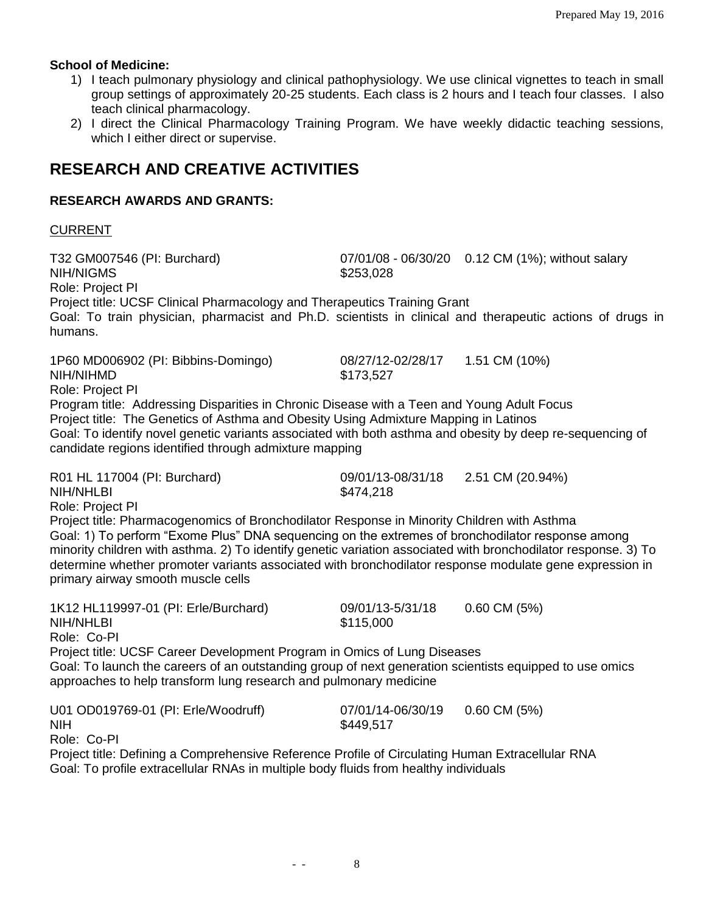## **School of Medicine:**

- 1) I teach pulmonary physiology and clinical pathophysiology. We use clinical vignettes to teach in small group settings of approximately 20-25 students. Each class is 2 hours and I teach four classes. I also teach clinical pharmacology.
- 2) I direct the Clinical Pharmacology Training Program. We have weekly didactic teaching sessions, which I either direct or supervise.

# **RESEARCH AND CREATIVE ACTIVITIES**

#### **RESEARCH AWARDS AND GRANTS:**

#### CURRENT

NIH/NIGMS \$253,028

T32 GM007546 (PI: Burchard) 07/01/08 - 06/30/20 0.12 CM (1%); without salary

Role: Project PI

Project title: UCSF Clinical Pharmacology and Therapeutics Training Grant Goal: To train physician, pharmacist and Ph.D. scientists in clinical and therapeutic actions of drugs in humans.

1P60 MD006902 (PI: Bibbins-Domingo) 08/27/12-02/28/17 1.51 CM (10%) NIH/NIHMD \$173,527 Role: Project PI

Program title: Addressing Disparities in Chronic Disease with a Teen and Young Adult Focus Project title: The Genetics of Asthma and Obesity Using Admixture Mapping in Latinos Goal: To identify novel genetic variants associated with both asthma and obesity by deep re-sequencing of candidate regions identified through admixture mapping

R01 HL 117004 (PI: Burchard) 09/01/13-08/31/18 2.51 CM (20.94%) NIH/NHLBI \$474,218 Role: Project PI

Project title: Pharmacogenomics of Bronchodilator Response in Minority Children with Asthma

Goal: 1) To perform "Exome Plus" DNA sequencing on the extremes of bronchodilator response among minority children with asthma. 2) To identify genetic variation associated with bronchodilator response. 3) To determine whether promoter variants associated with bronchodilator response modulate gene expression in primary airway smooth muscle cells

1K12 HL119997-01 (PI: Erle/Burchard) 09/01/13-5/31/18 0.60 CM (5%) NIH/NHLBI \$115,000 Role: Co-PI Project title: UCSF Career Development Program in Omics of Lung Diseases Goal: To launch the careers of an outstanding group of next generation scientists equipped to use omics approaches to help transform lung research and pulmonary medicine

| U01 OD019769-01 (PI: Erle/Woodruff)                                                              | 07/01/14-06/30/19 | $0.60$ CM $(5%)$ |
|--------------------------------------------------------------------------------------------------|-------------------|------------------|
| <b>NIH</b>                                                                                       | \$449.517         |                  |
| Role: Co-PI                                                                                      |                   |                  |
| Project title: Defining a Comprehensive Reference Profile of Circulating Human Extracellular RNA |                   |                  |

Goal: To profile extracellular RNAs in multiple body fluids from healthy individuals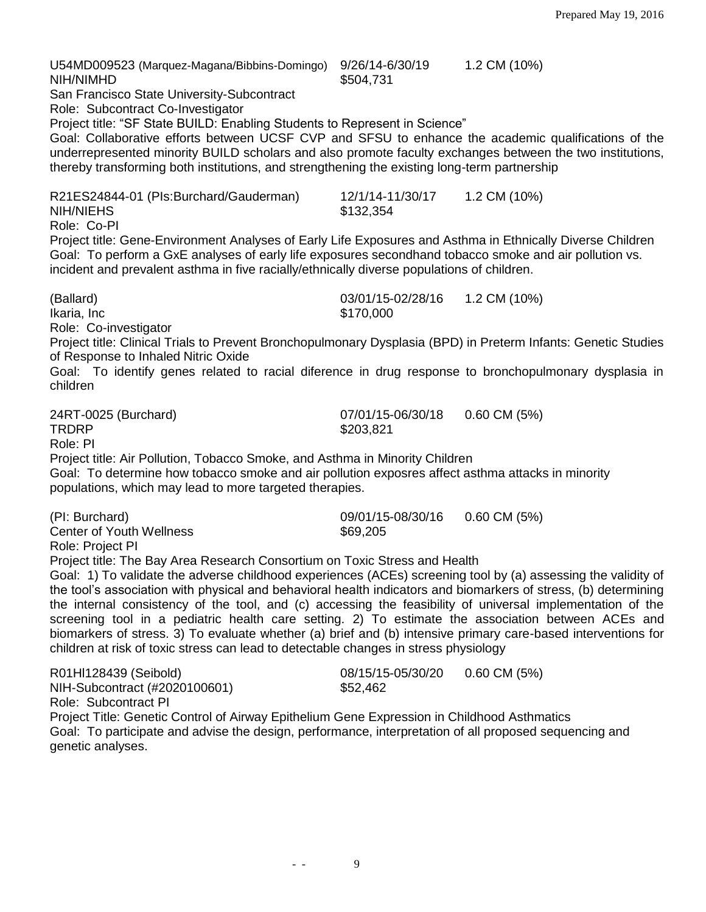U54MD009523 (Marquez-Magana/Bibbins-Domingo) 9/26/14-6/30/19 1.2 CM (10%) NIH/NIMHD \$504,731 San Francisco State University-Subcontract Role: Subcontract Co-Investigator Project title: "SF State BUILD: Enabling Students to Represent in Science" Goal: Collaborative efforts between UCSF CVP and SFSU to enhance the academic qualifications of the underrepresented minority BUILD scholars and also promote faculty exchanges between the two institutions, thereby transforming both institutions, and strengthening the existing long-term partnership R21ES24844-01 (PIs:Burchard/Gauderman) 12/1/14-11/30/17 1.2 CM (10%) NIH/NIEHS \$132,354 Role: Co-PI Project title: Gene-Environment Analyses of Early Life Exposures and Asthma in Ethnically Diverse Children Goal: To perform a GxE analyses of early life exposures secondhand tobacco smoke and air pollution vs. incident and prevalent asthma in five racially/ethnically diverse populations of children. (Ballard) 03/01/15-02/28/16 1.2 CM (10%)  $\frac{1}{2}$  Ikaria, Inc Role: Co-investigator Project title: Clinical Trials to Prevent Bronchopulmonary Dysplasia (BPD) in Preterm Infants: Genetic Studies of Response to Inhaled Nitric Oxide Goal: To identify genes related to racial diference in drug response to bronchopulmonary dysplasia in children 24RT-0025 (Burchard) 07/01/15-06/30/18 0.60 CM (5%) TRDRP \$203,821 Role: PI Project title: Air Pollution, Tobacco Smoke, and Asthma in Minority Children Goal: To determine how tobacco smoke and air pollution exposres affect asthma attacks in minority populations, which may lead to more targeted therapies. (PI: Burchard) 09/01/15-08/30/16 0.60 CM (5%) Center of Youth Wellness  $$69,205$ Role: Project PI Project title: The Bay Area Research Consortium on Toxic Stress and Health Goal: 1) To validate the adverse childhood experiences (ACEs) screening tool by (a) assessing the validity of the tool's association with physical and behavioral health indicators and biomarkers of stress, (b) determining the internal consistency of the tool, and (c) accessing the feasibility of universal implementation of the screening tool in a pediatric health care setting. 2) To estimate the association between ACEs and biomarkers of stress. 3) To evaluate whether (a) brief and (b) intensive primary care-based interventions for children at risk of toxic stress can lead to detectable changes in stress physiology R01Hl128439 (Seibold) 08/15/15-05/30/20 0.60 CM (5%) NIH-Subcontract (#2020100601) \$52,462 Role: Subcontract PI Project Title: Genetic Control of Airway Epithelium Gene Expression in Childhood Asthmatics Goal: To participate and advise the design, performance, interpretation of all proposed sequencing and

genetic analyses.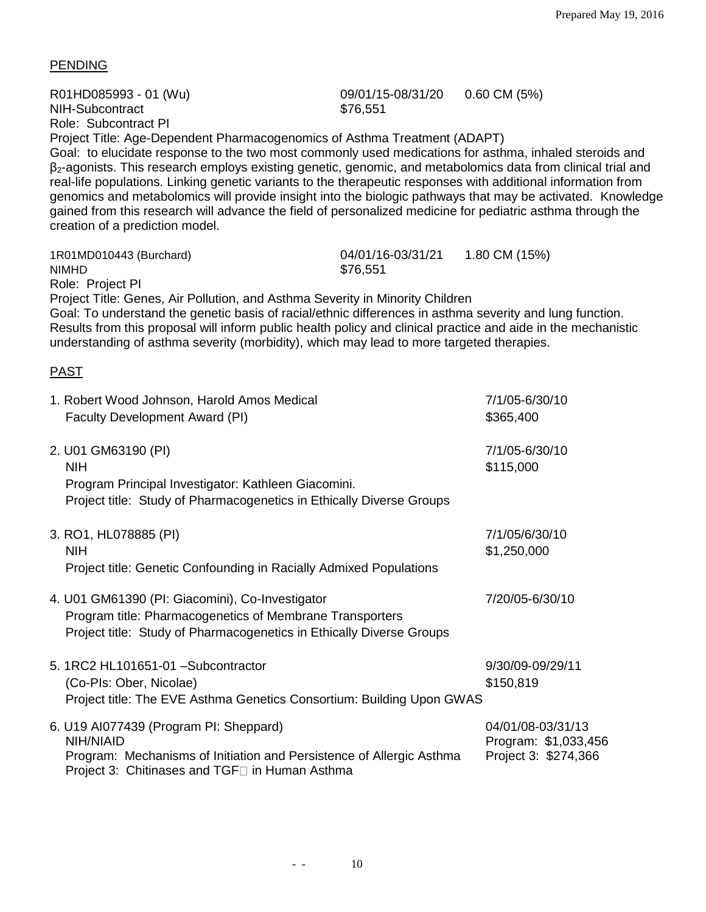| <b>PENDING</b> |
|----------------|
|----------------|

| R01HD085993 - 01 (Wu)<br>09/01/15-08/31/20<br>$0.60$ CM $(5%)$<br><b>NIH-Subcontract</b><br>\$76,551<br>Role: Subcontract PI<br>Project Title: Age-Dependent Pharmacogenomics of Asthma Treatment (ADAPT)<br>Goal: to elucidate response to the two most commonly used medications for asthma, inhaled steroids and<br>$\beta$ <sub>2</sub> -agonists. This research employs existing genetic, genomic, and metabolomics data from clinical trial and<br>real-life populations. Linking genetic variants to the therapeutic responses with additional information from<br>genomics and metabolomics will provide insight into the biologic pathways that may be activated. Knowledge<br>gained from this research will advance the field of personalized medicine for pediatric asthma through the<br>creation of a prediction model. |                                                                                                                                                                                                                                                                                                                                                                                                                                                                                                                         |  |                                                                   |  |  |
|---------------------------------------------------------------------------------------------------------------------------------------------------------------------------------------------------------------------------------------------------------------------------------------------------------------------------------------------------------------------------------------------------------------------------------------------------------------------------------------------------------------------------------------------------------------------------------------------------------------------------------------------------------------------------------------------------------------------------------------------------------------------------------------------------------------------------------------|-------------------------------------------------------------------------------------------------------------------------------------------------------------------------------------------------------------------------------------------------------------------------------------------------------------------------------------------------------------------------------------------------------------------------------------------------------------------------------------------------------------------------|--|-------------------------------------------------------------------|--|--|
|                                                                                                                                                                                                                                                                                                                                                                                                                                                                                                                                                                                                                                                                                                                                                                                                                                       | 1.80 CM (15%)<br>04/01/16-03/31/21<br>1R01MD010443 (Burchard)<br>\$76,551<br><b>NIMHD</b><br>Role: Project PI<br>Project Title: Genes, Air Pollution, and Asthma Severity in Minority Children<br>Goal: To understand the genetic basis of racial/ethnic differences in asthma severity and lung function.<br>Results from this proposal will inform public health policy and clinical practice and aide in the mechanistic<br>understanding of asthma severity (morbidity), which may lead to more targeted therapies. |  |                                                                   |  |  |
|                                                                                                                                                                                                                                                                                                                                                                                                                                                                                                                                                                                                                                                                                                                                                                                                                                       | <b>PAST</b>                                                                                                                                                                                                                                                                                                                                                                                                                                                                                                             |  |                                                                   |  |  |
|                                                                                                                                                                                                                                                                                                                                                                                                                                                                                                                                                                                                                                                                                                                                                                                                                                       | 1. Robert Wood Johnson, Harold Amos Medical<br>Faculty Development Award (PI)                                                                                                                                                                                                                                                                                                                                                                                                                                           |  | 7/1/05-6/30/10<br>\$365,400                                       |  |  |
|                                                                                                                                                                                                                                                                                                                                                                                                                                                                                                                                                                                                                                                                                                                                                                                                                                       | 2. U01 GM63190 (PI)<br><b>NIH</b><br>Program Principal Investigator: Kathleen Giacomini.<br>Project title: Study of Pharmacogenetics in Ethically Diverse Groups                                                                                                                                                                                                                                                                                                                                                        |  | 7/1/05-6/30/10<br>\$115,000                                       |  |  |
|                                                                                                                                                                                                                                                                                                                                                                                                                                                                                                                                                                                                                                                                                                                                                                                                                                       | 3. RO1, HL078885 (PI)<br><b>NIH</b><br>Project title: Genetic Confounding in Racially Admixed Populations                                                                                                                                                                                                                                                                                                                                                                                                               |  | 7/1/05/6/30/10<br>\$1,250,000                                     |  |  |
|                                                                                                                                                                                                                                                                                                                                                                                                                                                                                                                                                                                                                                                                                                                                                                                                                                       | 4. U01 GM61390 (PI: Giacomini), Co-Investigator<br>Program title: Pharmacogenetics of Membrane Transporters<br>Project title: Study of Pharmacogenetics in Ethically Diverse Groups                                                                                                                                                                                                                                                                                                                                     |  | 7/20/05-6/30/10                                                   |  |  |
|                                                                                                                                                                                                                                                                                                                                                                                                                                                                                                                                                                                                                                                                                                                                                                                                                                       | 5. 1RC2 HL101651-01 -Subcontractor<br>(Co-Pls: Ober, Nicolae)<br>Project title: The EVE Asthma Genetics Consortium: Building Upon GWAS                                                                                                                                                                                                                                                                                                                                                                                  |  | 9/30/09-09/29/11<br>\$150,819                                     |  |  |
|                                                                                                                                                                                                                                                                                                                                                                                                                                                                                                                                                                                                                                                                                                                                                                                                                                       | 6. U19 AI077439 (Program PI: Sheppard)<br>NIH/NIAID<br>Program: Mechanisms of Initiation and Persistence of Allergic Asthma<br>Project 3: Chitinases and TGF□ in Human Asthma                                                                                                                                                                                                                                                                                                                                           |  | 04/01/08-03/31/13<br>Program: \$1,033,456<br>Project 3: \$274,366 |  |  |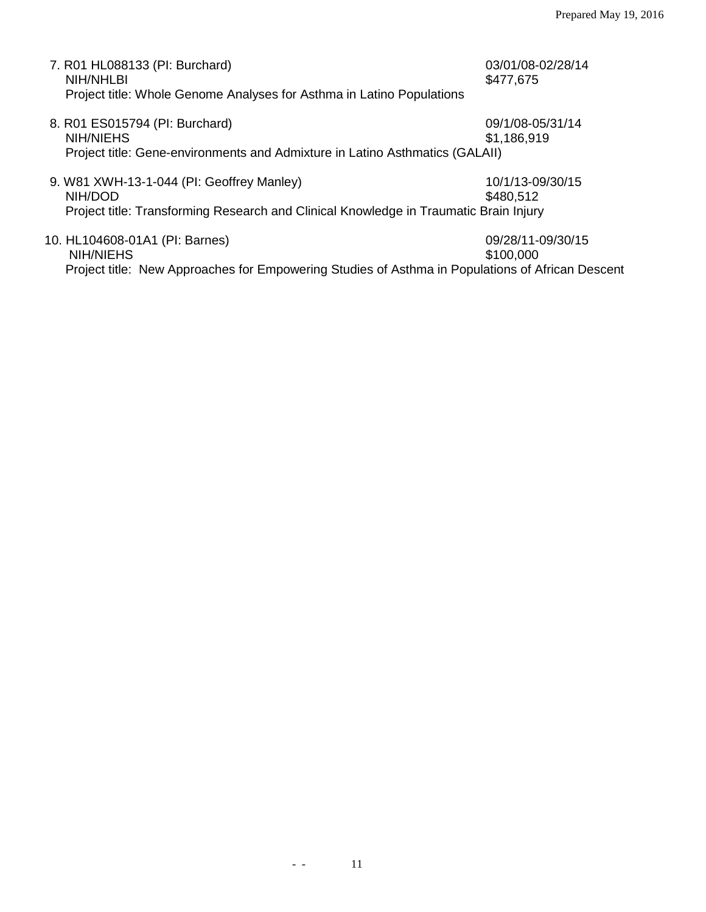| 7. R01 HL088133 (PI: Burchard)<br>NIH/NHLBI<br>Project title: Whole Genome Analyses for Asthma in Latino Populations                                   | 03/01/08-02/28/14<br>\$477,675  |
|--------------------------------------------------------------------------------------------------------------------------------------------------------|---------------------------------|
| 8. R01 ES015794 (PI: Burchard)<br>NIH/NIEHS<br>Project title: Gene-environments and Admixture in Latino Asthmatics (GALAII)                            | 09/1/08-05/31/14<br>\$1,186,919 |
| 9. W81 XWH-13-1-044 (PI: Geoffrey Manley)<br>NIH/DOD<br>Project title: Transforming Research and Clinical Knowledge in Traumatic Brain Injury          | 10/1/13-09/30/15<br>\$480,512   |
| 10. HL104608-01A1 (PI: Barnes)<br><b>NIH/NIEHS</b><br>Project title: New Approaches for Empowering Studies of Asthma in Populations of African Descent | 09/28/11-09/30/15<br>\$100,000  |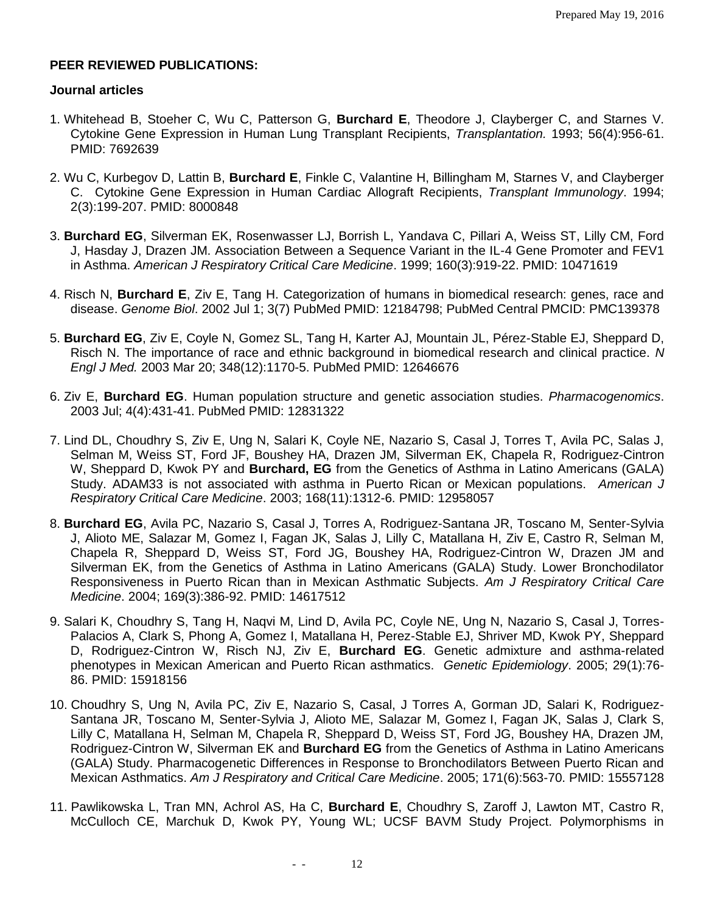#### **PEER REVIEWED PUBLICATIONS:**

#### **Journal articles**

- 1. Whitehead B, Stoeher C, Wu C, Patterson G, **Burchard E**, Theodore J, Clayberger C, and Starnes V. Cytokine Gene Expression in Human Lung Transplant Recipients, *Transplantation.* 1993; 56(4):956-61. PMID: 7692639
- 2. Wu C, Kurbegov D, Lattin B, **Burchard E**, Finkle C, Valantine H, Billingham M, Starnes V, and Clayberger C. Cytokine Gene Expression in Human Cardiac Allograft Recipients, *Transplant Immunology*. 1994; 2(3):199-207. PMID: 8000848
- 3. **Burchard EG**, Silverman EK, Rosenwasser LJ, Borrish L, Yandava C, Pillari A, Weiss ST, Lilly CM, Ford J, Hasday J, Drazen JM. Association Between a Sequence Variant in the IL-4 Gene Promoter and FEV1 in Asthma. *American J Respiratory Critical Care Medicine*. 1999; 160(3):919-22. PMID: 10471619
- 4. Risch N, **Burchard E**, Ziv E, Tang H. Categorization of humans in biomedical research: genes, race and disease. *Genome Biol*. 2002 Jul 1; 3(7) PubMed PMID: 12184798; PubMed Central PMCID: PMC139378
- 5. **Burchard EG**, Ziv E, Coyle N, Gomez SL, Tang H, Karter AJ, Mountain JL, Pérez-Stable EJ, Sheppard D, Risch N. The importance of race and ethnic background in biomedical research and clinical practice. *N Engl J Med.* 2003 Mar 20; 348(12):1170-5. PubMed PMID: 12646676
- 6. Ziv E, **Burchard EG**. Human population structure and genetic association studies. *Pharmacogenomics*. 2003 Jul; 4(4):431-41. PubMed PMID: 12831322
- 7. Lind DL, Choudhry S, Ziv E, Ung N, Salari K, Coyle NE, Nazario S, Casal J, Torres T, Avila PC, Salas J, Selman M, Weiss ST, Ford JF, Boushey HA, Drazen JM, Silverman EK, Chapela R, Rodriguez-Cintron W, Sheppard D, Kwok PY and **Burchard, EG** from the Genetics of Asthma in Latino Americans (GALA) Study. ADAM33 is not associated with asthma in Puerto Rican or Mexican populations. *American J Respiratory Critical Care Medicine*. 2003; 168(11):1312-6. PMID: 12958057
- 8. **Burchard EG**, Avila PC, Nazario S, Casal J, Torres A, Rodriguez-Santana JR, Toscano M, Senter-Sylvia J, Alioto ME, Salazar M, Gomez I, Fagan JK, Salas J, Lilly C, Matallana H, Ziv E, Castro R, Selman M, Chapela R, Sheppard D, Weiss ST, Ford JG, Boushey HA, Rodriguez-Cintron W, Drazen JM and Silverman EK, from the Genetics of Asthma in Latino Americans (GALA) Study. Lower Bronchodilator Responsiveness in Puerto Rican than in Mexican Asthmatic Subjects. *Am J Respiratory Critical Care Medicine*. 2004; 169(3):386-92. PMID: 14617512
- 9. Salari K, Choudhry S, Tang H, Naqvi M, Lind D, Avila PC, Coyle NE, Ung N, Nazario S, Casal J, Torres-Palacios A, Clark S, Phong A, Gomez I, Matallana H, Perez-Stable EJ, Shriver MD, Kwok PY, Sheppard D, Rodriguez-Cintron W, Risch NJ, Ziv E, **Burchard EG**. Genetic admixture and asthma-related phenotypes in Mexican American and Puerto Rican asthmatics.*Genetic Epidemiology*. 2005; 29(1):76- 86. PMID: 15918156
- 10. Choudhry S, Ung N, Avila PC, Ziv E, Nazario S, Casal, J Torres A, Gorman JD, Salari K, Rodriguez-Santana JR, Toscano M, Senter-Sylvia J, Alioto ME, Salazar M, Gomez I, Fagan JK, Salas J, Clark S, Lilly C, Matallana H, Selman M, Chapela R, Sheppard D, Weiss ST, Ford JG, Boushey HA, Drazen JM, Rodriguez-Cintron W, Silverman EK and **Burchard EG** from the Genetics of Asthma in Latino Americans (GALA) Study. Pharmacogenetic Differences in Response to Bronchodilators Between Puerto Rican and Mexican Asthmatics. *Am J Respiratory and Critical Care Medicine*. 2005; 171(6):563-70. PMID: 15557128
- 11. Pawlikowska L, Tran MN, Achrol AS, Ha C, **Burchard E**, Choudhry S, Zaroff J, Lawton MT, Castro R, McCulloch CE, Marchuk D, Kwok PY, Young WL; UCSF BAVM Study Project. Polymorphisms in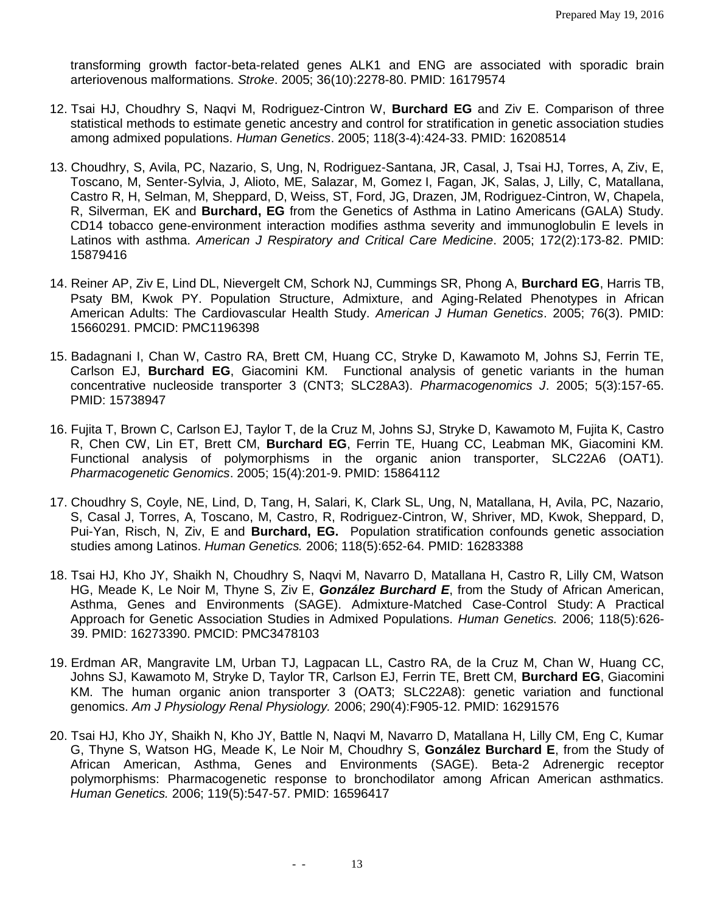transforming growth factor-beta-related genes ALK1 and ENG are associated with sporadic brain arteriovenous malformations. *Stroke*. 2005; 36(10):2278-80. PMID: 16179574

- 12. Tsai HJ, Choudhry S, Naqvi M, Rodriguez-Cintron W, **Burchard EG** and Ziv E. Comparison of three statistical methods to estimate genetic ancestry and control for stratification in genetic association studies among admixed populations. *Human Genetics*. 2005; 118(3-4):424-33. PMID: 16208514
- 13. Choudhry, S, Avila, PC, Nazario, S, Ung, N, Rodriguez-Santana, JR, Casal, J, Tsai HJ, Torres, A, Ziv, E, Toscano, M, Senter-Sylvia, J, Alioto, ME, Salazar, M, Gomez I, Fagan, JK, Salas, J, Lilly, C, Matallana, Castro R, H, Selman, M, Sheppard, D, Weiss, ST, Ford, JG, Drazen, JM, Rodriguez-Cintron, W, Chapela, R, Silverman, EK and **Burchard, EG** from the Genetics of Asthma in Latino Americans (GALA) Study. CD14 tobacco gene-environment interaction modifies asthma severity and immunoglobulin E levels in Latinos with asthma. *American J Respiratory and Critical Care Medicine*. 2005; 172(2):173-82. PMID: 15879416
- 14. Reiner AP, Ziv E, Lind DL, Nievergelt CM, Schork NJ, Cummings SR, Phong A, **Burchard EG**, Harris TB, Psaty BM, Kwok PY. Population Structure, Admixture, and Aging-Related Phenotypes in African American Adults: The Cardiovascular Health Study. *American J Human Genetics*. 2005; 76(3). PMID: 15660291. PMCID: PMC1196398
- 15. Badagnani I, Chan W, Castro RA, Brett CM, Huang CC, Stryke D, Kawamoto M, Johns SJ, Ferrin TE, Carlson EJ, **Burchard EG**, Giacomini KM. Functional analysis of genetic variants in the human concentrative nucleoside transporter 3 (CNT3; SLC28A3). *Pharmacogenomics J*. 2005; 5(3):157-65. PMID: 15738947
- 16. Fujita T, Brown C, Carlson EJ, Taylor T, de la Cruz M, Johns SJ, Stryke D, Kawamoto M, Fujita K, Castro R, Chen CW, Lin ET, Brett CM, **Burchard EG**, Ferrin TE, Huang CC, Leabman MK, Giacomini KM. Functional analysis of polymorphisms in the organic anion transporter, SLC22A6 (OAT1). *Pharmacogenetic Genomics*. 2005; 15(4):201-9. PMID: 15864112
- 17. Choudhry S, Coyle, NE, Lind, D, Tang, H, Salari, K, Clark SL, Ung, N, Matallana, H, Avila, PC, Nazario, S, Casal J, Torres, A, Toscano, M, Castro, R, Rodriguez-Cintron, W, Shriver, MD, Kwok, Sheppard, D, Pui-Yan, Risch, N, Ziv, E and **Burchard, EG.** Population stratification confounds genetic association studies among Latinos. *Human Genetics.* 2006; 118(5):652-64. PMID: 16283388
- 18. Tsai HJ, Kho JY, Shaikh N, Choudhry S, Naqvi M, Navarro D, Matallana H, Castro R, Lilly CM, Watson HG, Meade K, Le Noir M, Thyne S, Ziv E, *González Burchard E*, from the Study of African American, Asthma, Genes and Environments (SAGE). Admixture-Matched Case-Control Study: A Practical Approach for Genetic Association Studies in Admixed Populations. *Human Genetics.* 2006; 118(5):626- 39. PMID: 16273390. PMCID: PMC3478103
- 19. Erdman AR, Mangravite LM, Urban TJ, Lagpacan LL, Castro RA, de la Cruz M, Chan W, Huang CC, Johns SJ, Kawamoto M, Stryke D, Taylor TR, Carlson EJ, Ferrin TE, Brett CM, **Burchard EG**, Giacomini KM. The human organic anion transporter 3 (OAT3; SLC22A8): genetic variation and functional genomics. *Am J Physiology Renal Physiology.* 2006; 290(4):F905-12. PMID: 16291576
- 20. Tsai HJ, Kho JY, Shaikh N, Kho JY, Battle N, Naqvi M, Navarro D, Matallana H, Lilly CM, Eng C, Kumar G, Thyne S, Watson HG, Meade K, Le Noir M, Choudhry S, **González Burchard E**, from the Study of African American, Asthma, Genes and Environments (SAGE). Beta-2 Adrenergic receptor polymorphisms: Pharmacogenetic response to bronchodilator among African American asthmatics. *Human Genetics.* 2006; 119(5):547-57. PMID: 16596417

 $- 13$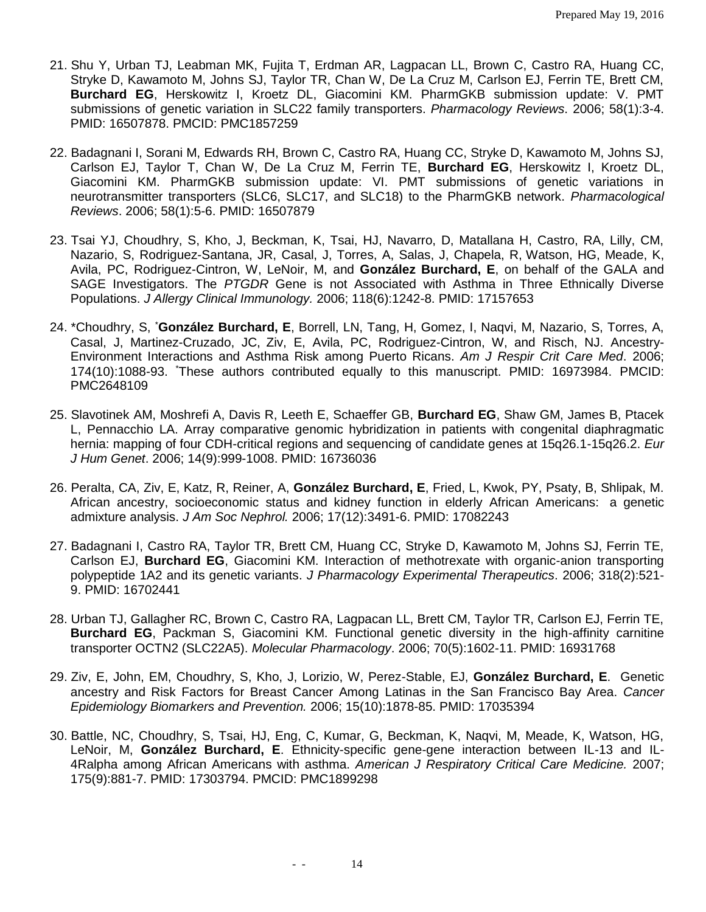- 21. Shu Y, Urban TJ, Leabman MK, Fujita T, Erdman AR, Lagpacan LL, Brown C, Castro RA, Huang CC, Stryke D, Kawamoto M, Johns SJ, Taylor TR, Chan W, De La Cruz M, Carlson EJ, Ferrin TE, Brett CM, **Burchard EG**, Herskowitz I, Kroetz DL, Giacomini KM. PharmGKB submission update: V. PMT submissions of genetic variation in SLC22 family transporters. *Pharmacology Reviews*. 2006; 58(1):3-4. PMID: 16507878. PMCID: PMC1857259
- 22. Badagnani I, Sorani M, Edwards RH, Brown C, Castro RA, Huang CC, Stryke D, Kawamoto M, Johns SJ, Carlson EJ, Taylor T, Chan W, De La Cruz M, Ferrin TE, **Burchard EG**, Herskowitz I, Kroetz DL, Giacomini KM. PharmGKB submission update: VI. PMT submissions of genetic variations in neurotransmitter transporters (SLC6, SLC17, and SLC18) to the PharmGKB network. *Pharmacological Reviews*. 2006; 58(1):5-6. PMID: 16507879
- 23. Tsai YJ, Choudhry, S, Kho, J, Beckman, K, Tsai, HJ, Navarro, D, Matallana H, Castro, RA, Lilly, CM, Nazario, S, Rodriguez-Santana, JR, Casal, J, Torres, A, Salas, J, Chapela, R, Watson, HG, Meade, K, Avila, PC, Rodriguez-Cintron, W, LeNoir, M, and **González Burchard, E**, on behalf of the GALA and SAGE Investigators. The *PTGDR* Gene is not Associated with Asthma in Three Ethnically Diverse Populations. *J Allergy Clinical Immunology.* 2006; 118(6):1242-8. PMID: 17157653
- 24. \*Choudhry, S, \***González Burchard, E**, Borrell, LN, Tang, H, Gomez, I, Naqvi, M, Nazario, S, Torres, A, Casal, J, Martinez-Cruzado, JC, Ziv, E, Avila, PC, Rodriguez-Cintron, W, and Risch, NJ. Ancestry-Environment Interactions and Asthma Risk among Puerto Ricans. *Am J Respir Crit Care Med*. 2006; 174(10):1088-93. \*These authors contributed equally to this manuscript. PMID: 16973984. PMCID: PMC2648109
- 25. Slavotinek AM, Moshrefi A, Davis R, Leeth E, Schaeffer GB, **Burchard EG**, Shaw GM, James B, Ptacek L, Pennacchio LA. Array comparative genomic hybridization in patients with congenital diaphragmatic hernia: mapping of four CDH-critical regions and sequencing of candidate genes at 15q26.1-15q26.2. *Eur J Hum Genet*. 2006; 14(9):999-1008. PMID: 16736036
- 26. Peralta, CA, Ziv, E, Katz, R, Reiner, A, **González Burchard, E**, Fried, L, Kwok, PY, Psaty, B, Shlipak, M. African ancestry, socioeconomic status and kidney function in elderly African Americans: a genetic admixture analysis. *J Am Soc Nephrol.* 2006; 17(12):3491-6. PMID: 17082243
- 27. Badagnani I, Castro RA, Taylor TR, Brett CM, Huang CC, Stryke D, Kawamoto M, Johns SJ, Ferrin TE, Carlson EJ, **Burchard EG**, Giacomini KM. Interaction of methotrexate with organic-anion transporting polypeptide 1A2 and its genetic variants. *J Pharmacology Experimental Therapeutics*. 2006; 318(2):521- 9. PMID: 16702441
- 28. Urban TJ, Gallagher RC, Brown C, Castro RA, Lagpacan LL, Brett CM, Taylor TR, Carlson EJ, Ferrin TE, **Burchard EG**, Packman S, Giacomini KM. Functional genetic diversity in the high-affinity carnitine transporter OCTN2 (SLC22A5). *Molecular Pharmacology*. 2006; 70(5):1602-11. PMID: 16931768
- 29. Ziv, E, John, EM, Choudhry, S, Kho, J, Lorizio, W, Perez-Stable, EJ, **González Burchard, E**. Genetic ancestry and Risk Factors for Breast Cancer Among Latinas in the San Francisco Bay Area. *Cancer Epidemiology Biomarkers and Prevention.* 2006; 15(10):1878-85. PMID: 17035394
- 30. Battle, NC, Choudhry, S, Tsai, HJ, Eng, C, Kumar, G, Beckman, K, Naqvi, M, Meade, K, Watson, HG, LeNoir, M, **González Burchard, E**. Ethnicity-specific gene-gene interaction between IL-13 and IL-4Ralpha among African Americans with asthma. *American J Respiratory Critical Care Medicine.* 2007; 175(9):881-7. PMID: 17303794. PMCID: PMC1899298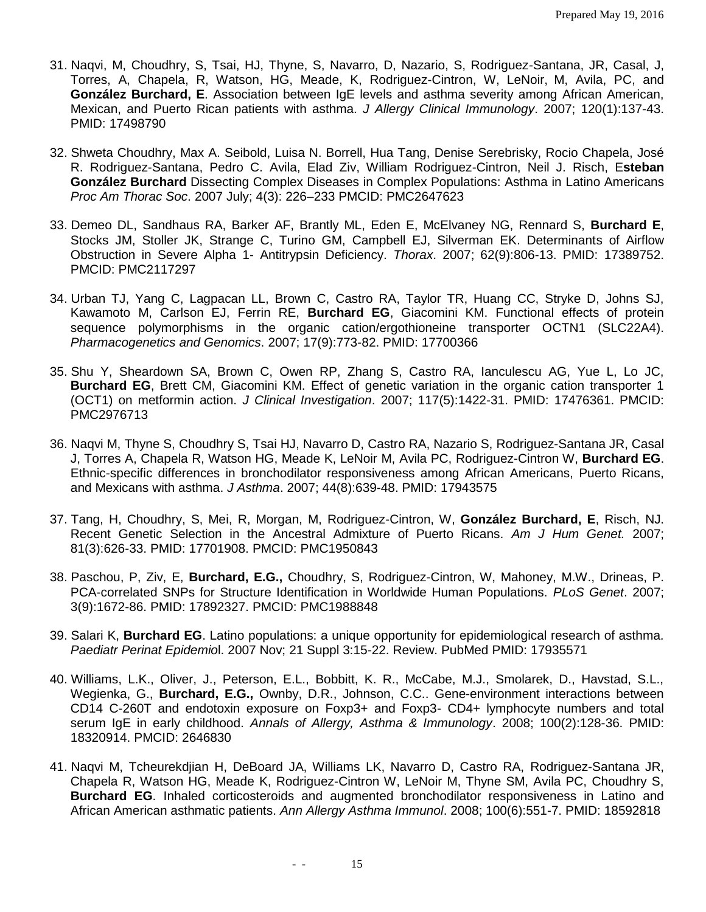- 31. Naqvi, M, Choudhry, S, Tsai, HJ, Thyne, S, Navarro, D, Nazario, S, Rodriguez-Santana, JR, Casal, J, Torres, A, Chapela, R, Watson, HG, Meade, K, Rodriguez-Cintron, W, LeNoir, M, Avila, PC, and **González Burchard, E**. Association between IgE levels and asthma severity among African American, Mexican, and Puerto Rican patients with asthma. *J Allergy Clinical Immunology*. 2007; 120(1):137-43. PMID: 17498790
- 32. Shweta Choudhry, Max A. Seibold, Luisa N. Borrell, Hua Tang, Denise Serebrisky, Rocio Chapela, José R. Rodriguez-Santana, Pedro C. Avila, Elad Ziv, William Rodriguez-Cintron, Neil J. Risch, E**steban González Burchard** Dissecting Complex Diseases in Complex Populations: Asthma in Latino Americans *Proc Am Thorac Soc*. 2007 July; 4(3): 226–233 PMCID: PMC2647623
- 33. Demeo DL, Sandhaus RA, Barker AF, Brantly ML, Eden E, McElvaney NG, Rennard S, **Burchard E**, Stocks JM, Stoller JK, Strange C, Turino GM, Campbell EJ, Silverman EK. Determinants of Airflow Obstruction in Severe Alpha 1- Antitrypsin Deficiency. *Thorax*. 2007; 62(9):806-13. PMID: 17389752. PMCID: PMC2117297
- 34. Urban TJ, Yang C, Lagpacan LL, Brown C, Castro RA, Taylor TR, Huang CC, Stryke D, Johns SJ, Kawamoto M, Carlson EJ, Ferrin RE, **Burchard EG**, Giacomini KM. Functional effects of protein sequence polymorphisms in the organic cation/ergothioneine transporter OCTN1 (SLC22A4). *Pharmacogenetics and Genomics*. 2007; 17(9):773-82. PMID: 17700366
- 35. Shu Y, Sheardown SA, Brown C, Owen RP, Zhang S, Castro RA, Ianculescu AG, Yue L, Lo JC, **Burchard EG**, Brett CM, Giacomini KM. Effect of genetic variation in the organic cation transporter 1 (OCT1) on metformin action. *J Clinical Investigation*. 2007; 117(5):1422-31. PMID: 17476361. PMCID: PMC2976713
- 36. Naqvi M, Thyne S, Choudhry S, Tsai HJ, Navarro D, Castro RA, Nazario S, Rodriguez-Santana JR, Casal J, Torres A, Chapela R, Watson HG, Meade K, LeNoir M, Avila PC, Rodriguez-Cintron W, **Burchard EG**. Ethnic-specific differences in bronchodilator responsiveness among African Americans, Puerto Ricans, and Mexicans with asthma. *J Asthma*. 2007; 44(8):639-48. PMID: 17943575
- 37. Tang, H, Choudhry, S, Mei, R, Morgan, M, Rodriguez-Cintron, W, **González Burchard, E**, Risch, NJ. Recent Genetic Selection in the Ancestral Admixture of Puerto Ricans. *Am J Hum Genet.* 2007; 81(3):626-33. PMID: 17701908. PMCID: PMC1950843
- 38. Paschou, P, Ziv, E, **Burchard, E.G.,** Choudhry, S, Rodriguez-Cintron, W, Mahoney, M.W., Drineas, P. PCA-correlated SNPs for Structure Identification in Worldwide Human Populations. *PLoS Genet*. 2007; 3(9):1672-86. PMID: 17892327. PMCID: PMC1988848
- 39. Salari K, **Burchard EG**. Latino populations: a unique opportunity for epidemiological research of asthma. *Paediatr Perinat Epidemio*l. 2007 Nov; 21 Suppl 3:15-22. Review. PubMed PMID: 17935571
- 40. Williams, L.K., Oliver, J., Peterson, E.L., Bobbitt, K. R., McCabe, M.J., Smolarek, D., Havstad, S.L., Wegienka, G., **Burchard, E.G.,** Ownby, D.R., Johnson, C.C.. Gene-environment interactions between CD14 C-260T and endotoxin exposure on Foxp3+ and Foxp3- CD4+ lymphocyte numbers and total serum IgE in early childhood. *Annals of Allergy, Asthma & Immunology*. 2008; 100(2):128-36. PMID: 18320914. PMCID: 2646830
- 41. Naqvi M, Tcheurekdjian H, DeBoard JA, Williams LK, Navarro D, Castro RA, Rodriguez-Santana JR, Chapela R, Watson HG, Meade K, Rodriguez-Cintron W, LeNoir M, Thyne SM, Avila PC, Choudhry S, **Burchard EG**. Inhaled corticosteroids and augmented bronchodilator responsiveness in Latino and African American asthmatic patients. *Ann Allergy Asthma Immunol*. 2008; 100(6):551-7. PMID: 18592818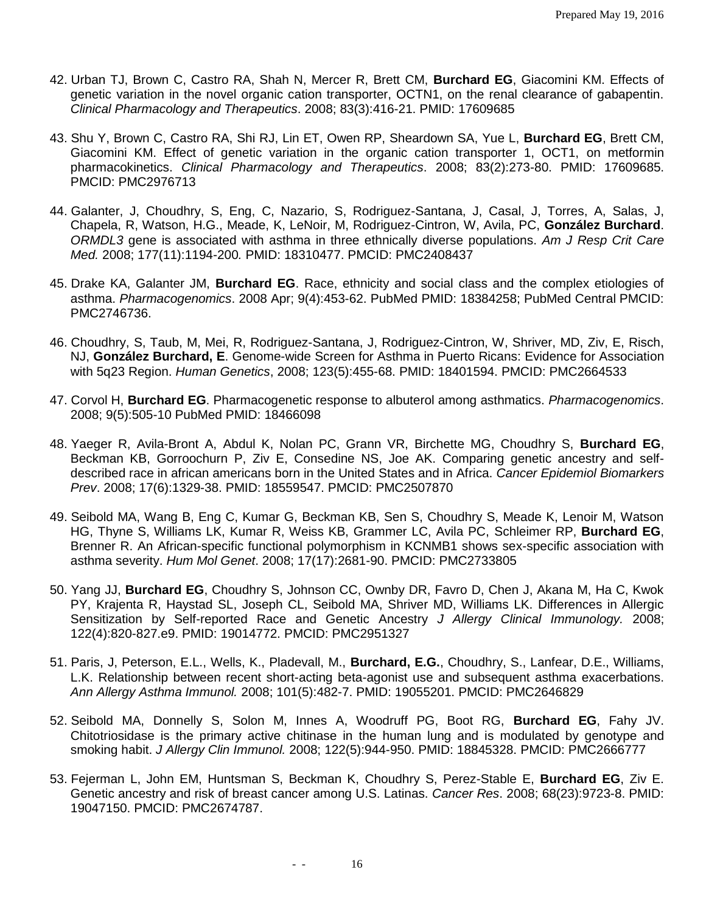- 42. Urban TJ, Brown C, Castro RA, Shah N, Mercer R, Brett CM, **Burchard EG**, Giacomini KM. Effects of genetic variation in the novel organic cation transporter, OCTN1, on the renal clearance of gabapentin. *Clinical Pharmacology and Therapeutics*. 2008; 83(3):416-21. PMID: 17609685
- 43. Shu Y, Brown C, Castro RA, Shi RJ, Lin ET, Owen RP, Sheardown SA, Yue L, **Burchard EG**, Brett CM, Giacomini KM. Effect of genetic variation in the organic cation transporter 1, OCT1, on metformin pharmacokinetics. *Clinical Pharmacology and Therapeutics*. 2008; 83(2):273-80. PMID: 17609685. PMCID: PMC2976713
- 44. Galanter, J, Choudhry, S, Eng, C, Nazario, S, Rodriguez-Santana, J, Casal, J, Torres, A, Salas, J, Chapela, R, Watson, H.G., Meade, K, LeNoir, M, Rodriguez-Cintron, W, Avila, PC, **González Burchard**. *ORMDL3* gene is associated with asthma in three ethnically diverse populations. *Am J Resp Crit Care Med.* 2008; 177(11):1194-200*.* PMID: 18310477. PMCID: PMC2408437
- 45. Drake KA, Galanter JM, **Burchard EG**. Race, ethnicity and social class and the complex etiologies of asthma. *Pharmacogenomics*. 2008 Apr; 9(4):453-62. PubMed PMID: 18384258; PubMed Central PMCID: PMC2746736.
- 46. Choudhry, S, Taub, M, Mei, R, Rodriguez-Santana, J, Rodriguez-Cintron, W, Shriver, MD, Ziv, E, Risch, NJ, **González Burchard, E**. Genome-wide Screen for Asthma in Puerto Ricans: Evidence for Association with 5q23 Region. *Human Genetics*, 2008; 123(5):455-68. PMID: 18401594. PMCID: PMC2664533
- 47. Corvol H, **Burchard EG**. Pharmacogenetic response to albuterol among asthmatics. *Pharmacogenomics*. 2008; 9(5):505-10 PubMed PMID: 18466098
- 48. Yaeger R, Avila-Bront A, Abdul K, Nolan PC, Grann VR, Birchette MG, Choudhry S, **Burchard EG**, Beckman KB, Gorroochurn P, Ziv E, Consedine NS, Joe AK. Comparing genetic ancestry and selfdescribed race in african americans born in the United States and in Africa. *Cancer Epidemiol Biomarkers Prev*. 2008; 17(6):1329-38. PMID: 18559547. PMCID: PMC2507870
- 49. Seibold MA, Wang B, Eng C, Kumar G, Beckman KB, Sen S, Choudhry S, Meade K, Lenoir M, Watson HG, Thyne S, Williams LK, Kumar R, Weiss KB, Grammer LC, Avila PC, Schleimer RP, **Burchard EG**, Brenner R. An African-specific functional polymorphism in KCNMB1 shows sex-specific association with asthma severity. *Hum Mol Genet*. 2008; 17(17):2681-90. PMCID: PMC2733805
- 50. Yang JJ, **Burchard EG**, Choudhry S, Johnson CC, Ownby DR, Favro D, Chen J, Akana M, Ha C, Kwok PY, Krajenta R, Haystad SL, Joseph CL, Seibold MA, Shriver MD, Williams LK. Differences in Allergic Sensitization by Self-reported Race and Genetic Ancestry *J Allergy Clinical Immunology.* 2008; 122(4):820-827.e9. PMID: 19014772. PMCID: PMC2951327
- 51. Paris, J, Peterson, E.L., Wells, K., Pladevall, M., **Burchard, E.G.**, Choudhry, S., Lanfear, D.E., Williams, L.K. Relationship between recent short-acting beta-agonist use and subsequent asthma exacerbations. *Ann Allergy Asthma Immunol.* 2008; 101(5):482-7. PMID: 19055201. PMCID: PMC2646829
- 52. Seibold MA, Donnelly S, Solon M, Innes A, Woodruff PG, Boot RG, **Burchard EG**, Fahy JV. Chitotriosidase is the primary active chitinase in the human lung and is modulated by genotype and smoking habit. *J Allergy Clin Immunol.* 2008; 122(5):944-950. PMID: 18845328. PMCID: PMC2666777
- 53. Fejerman L, John EM, Huntsman S, Beckman K, Choudhry S, Perez-Stable E, **Burchard EG**, Ziv E. Genetic ancestry and risk of breast cancer among U.S. Latinas. *Cancer Res*. 2008; 68(23):9723-8. PMID: 19047150. PMCID: PMC2674787.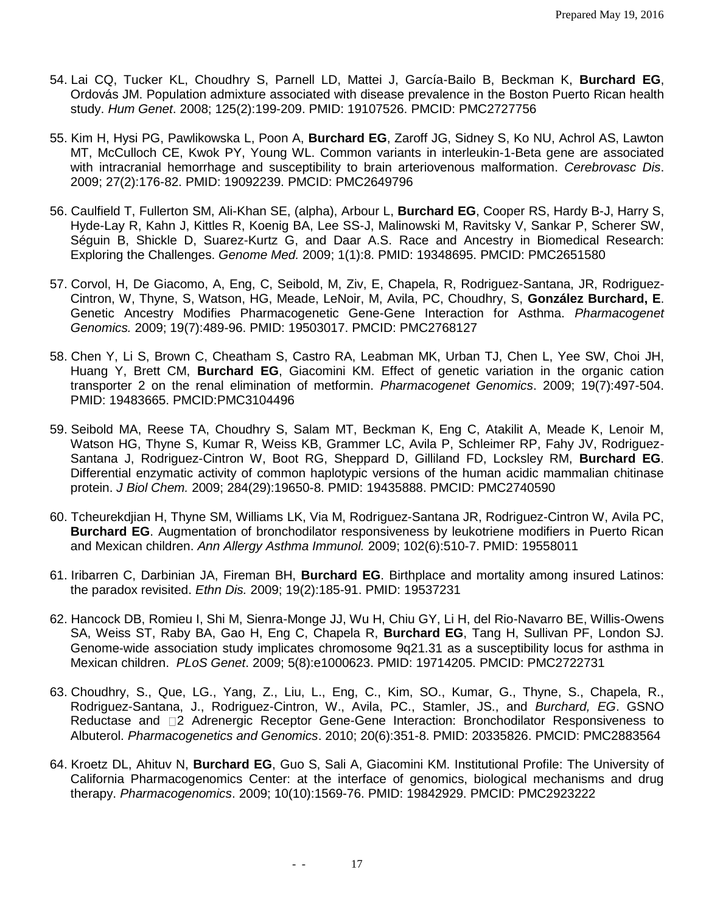- 54. Lai CQ, Tucker KL, Choudhry S, Parnell LD, Mattei J, García-Bailo B, Beckman K, **Burchard EG**, Ordovás JM. Population admixture associated with disease prevalence in the Boston Puerto Rican health study. *Hum Genet*. 2008; 125(2):199-209. PMID: 19107526. PMCID: PMC2727756
- 55. Kim H, Hysi PG, Pawlikowska L, Poon A, **Burchard EG**, Zaroff JG, Sidney S, Ko NU, Achrol AS, Lawton MT, McCulloch CE, Kwok PY, Young WL. Common variants in interleukin-1-Beta gene are associated with intracranial hemorrhage and susceptibility to brain arteriovenous malformation. *Cerebrovasc Dis*. 2009; 27(2):176-82. PMID: 19092239. PMCID: PMC2649796
- 56. Caulfield T, Fullerton SM, Ali-Khan SE, (alpha), Arbour L, **Burchard EG**, Cooper RS, Hardy B-J, Harry S, Hyde-Lay R, Kahn J, Kittles R, Koenig BA, Lee SS-J, Malinowski M, Ravitsky V, Sankar P, Scherer SW, Séguin B, Shickle D, Suarez-Kurtz G, and Daar A.S. Race and Ancestry in Biomedical Research: Exploring the Challenges. *Genome Med.* 2009; 1(1):8. PMID: 19348695. PMCID: PMC2651580
- 57. Corvol, H, De Giacomo, A, Eng, C, Seibold, M, Ziv, E, Chapela, R, Rodriguez-Santana, JR, Rodriguez-Cintron, W, Thyne, S, Watson, HG, Meade, LeNoir, M, Avila, PC, Choudhry, S, **González Burchard, E**. Genetic Ancestry Modifies Pharmacogenetic Gene-Gene Interaction for Asthma. *Pharmacogenet Genomics.* 2009; 19(7):489-96. PMID: 19503017. PMCID: PMC2768127
- 58. Chen Y, Li S, Brown C, Cheatham S, Castro RA, Leabman MK, Urban TJ, Chen L, Yee SW, Choi JH, Huang Y, Brett CM, **Burchard EG**, Giacomini KM. Effect of genetic variation in the organic cation transporter 2 on the renal elimination of metformin. *Pharmacogenet Genomics*. 2009; 19(7):497-504. PMID: 19483665. PMCID:PMC3104496
- 59. Seibold MA, Reese TA, Choudhry S, Salam MT, Beckman K, Eng C, Atakilit A, Meade K, Lenoir M, Watson HG, Thyne S, Kumar R, Weiss KB, Grammer LC, Avila P, Schleimer RP, Fahy JV, Rodriguez-Santana J, Rodriguez-Cintron W, Boot RG, Sheppard D, Gilliland FD, Locksley RM, **Burchard EG**. Differential enzymatic activity of common haplotypic versions of the human acidic mammalian chitinase protein. *J Biol Chem.* 2009; 284(29):19650-8. PMID: 19435888. PMCID: PMC2740590
- 60. Tcheurekdjian H, Thyne SM, Williams LK, Via M, Rodriguez-Santana JR, Rodriguez-Cintron W, Avila PC, **Burchard EG**. Augmentation of bronchodilator responsiveness by leukotriene modifiers in Puerto Rican and Mexican children. *Ann Allergy Asthma Immunol.* 2009; 102(6):510-7. PMID: 19558011
- 61. Iribarren C, Darbinian JA, Fireman BH, **Burchard EG**. Birthplace and mortality among insured Latinos: the paradox revisited. *Ethn Dis.* 2009; 19(2):185-91. PMID: 19537231
- 62. Hancock DB, Romieu I, Shi M, Sienra-Monge JJ, Wu H, Chiu GY, Li H, del Rio-Navarro BE, Willis-Owens SA, Weiss ST, Raby BA, Gao H, Eng C, Chapela R, **Burchard EG**, Tang H, Sullivan PF, London SJ. Genome-wide association study implicates chromosome 9q21.31 as a susceptibility locus for asthma in Mexican children. *PLoS Genet*. 2009; 5(8):e1000623. PMID: 19714205. PMCID: PMC2722731
- 63. Choudhry, S., Que, LG., Yang, Z., Liu, L., Eng, C., Kim, SO., Kumar, G., Thyne, S., Chapela, R., Rodriguez-Santana, J., Rodriguez-Cintron, W., Avila, PC., Stamler, JS., and *Burchard, EG*. GSNO Reductase and  $\square$  Adrenergic Receptor Gene-Gene Interaction: Bronchodilator Responsiveness to Albuterol. *Pharmacogenetics and Genomics*. 2010; 20(6):351-8. PMID: 20335826. PMCID: PMC2883564
- 64. Kroetz DL, Ahituv N, **Burchard EG**, Guo S, Sali A, Giacomini KM. Institutional Profile: The University of California Pharmacogenomics Center: at the interface of genomics, biological mechanisms and drug therapy. *Pharmacogenomics*. 2009; 10(10):1569-76. PMID: 19842929. PMCID: PMC2923222

- - 17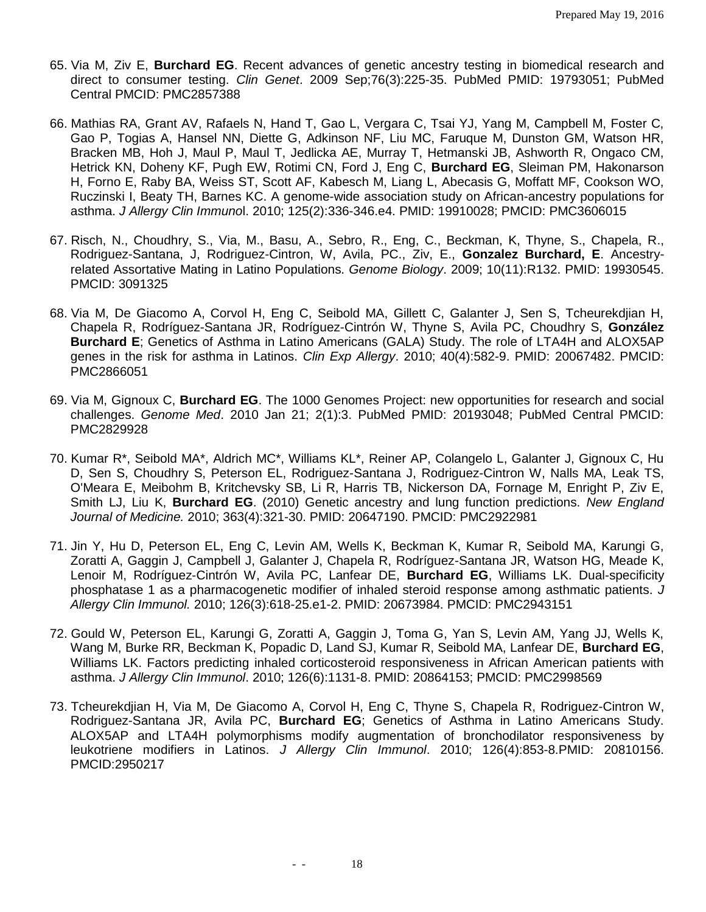- 65. Via M, Ziv E, **Burchard EG**. Recent advances of genetic ancestry testing in biomedical research and direct to consumer testing. *Clin Genet*. 2009 Sep;76(3):225-35. PubMed PMID: 19793051; PubMed Central PMCID: PMC2857388
- 66. Mathias RA, Grant AV, Rafaels N, Hand T, Gao L, Vergara C, Tsai YJ, Yang M, Campbell M, Foster C, Gao P, Togias A, Hansel NN, Diette G, Adkinson NF, Liu MC, Faruque M, Dunston GM, Watson HR, Bracken MB, Hoh J, Maul P, Maul T, Jedlicka AE, Murray T, Hetmanski JB, Ashworth R, Ongaco CM, Hetrick KN, Doheny KF, Pugh EW, Rotimi CN, Ford J, Eng C, **Burchard EG**, Sleiman PM, Hakonarson H, Forno E, Raby BA, Weiss ST, Scott AF, Kabesch M, Liang L, Abecasis G, Moffatt MF, Cookson WO, Ruczinski I, Beaty TH, Barnes KC. A genome-wide association study on African-ancestry populations for asthma. *J Allergy Clin Immuno*l. 2010; 125(2):336-346.e4. PMID: 19910028; PMCID: PMC3606015
- 67. Risch, N., Choudhry, S., Via, M., Basu, A., Sebro, R., Eng, C., Beckman, K, Thyne, S., Chapela, R., Rodriguez-Santana, J, Rodriguez-Cintron, W, Avila, PC., Ziv, E., **Gonzalez Burchard, E**. Ancestryrelated Assortative Mating in Latino Populations. *Genome Biology*. 2009; 10(11):R132. PMID: 19930545. PMCID: 3091325
- 68. Via M, De Giacomo A, Corvol H, Eng C, Seibold MA, Gillett C, Galanter J, Sen S, Tcheurekdjian H, Chapela R, Rodríguez-Santana JR, Rodríguez-Cintrón W, Thyne S, Avila PC, Choudhry S, **González Burchard E**; Genetics of Asthma in Latino Americans (GALA) Study. The role of LTA4H and ALOX5AP genes in the risk for asthma in Latinos. *Clin Exp Allergy*. 2010; 40(4):582-9. PMID: 20067482. PMCID: PMC2866051
- 69. Via M, Gignoux C, **Burchard EG**. The 1000 Genomes Project: new opportunities for research and social challenges. *Genome Med*. 2010 Jan 21; 2(1):3. PubMed PMID: 20193048; PubMed Central PMCID: PMC2829928
- 70. Kumar R\*, Seibold MA\*, Aldrich MC\*, Williams KL\*, Reiner AP, Colangelo L, Galanter J, Gignoux C, Hu D, Sen S, Choudhry S, Peterson EL, Rodriguez-Santana J, Rodriguez-Cintron W, Nalls MA, Leak TS, O'Meara E, Meibohm B, Kritchevsky SB, Li R, Harris TB, Nickerson DA, Fornage M, Enright P, Ziv E, Smith LJ, Liu K, **Burchard EG**. (2010) Genetic ancestry and lung function predictions. *New England Journal of Medicine.* 2010; 363(4):321-30. PMID: 20647190. PMCID: PMC2922981
- 71. Jin Y, Hu D, Peterson EL, Eng C, Levin AM, Wells K, Beckman K, Kumar R, Seibold MA, Karungi G, Zoratti A, Gaggin J, Campbell J, Galanter J, Chapela R, Rodríguez-Santana JR, Watson HG, Meade K, Lenoir M, Rodríguez-Cintrón W, Avila PC, Lanfear DE, **Burchard EG**, Williams LK. Dual-specificity phosphatase 1 as a pharmacogenetic modifier of inhaled steroid response among asthmatic patients. *J Allergy Clin Immunol.* 2010; 126(3):618-25.e1-2. PMID: 20673984. PMCID: PMC2943151
- 72. Gould W, Peterson EL, Karungi G, Zoratti A, Gaggin J, Toma G, Yan S, Levin AM, Yang JJ, Wells K, Wang M, Burke RR, Beckman K, Popadic D, Land SJ, Kumar R, Seibold MA, Lanfear DE, **Burchard EG**, Williams LK. Factors predicting inhaled corticosteroid responsiveness in African American patients with asthma. *J Allergy Clin Immunol*. 2010; 126(6):1131-8. PMID: 20864153; PMCID: PMC2998569
- 73. Tcheurekdjian H, Via M, De Giacomo A, Corvol H, Eng C, Thyne S, Chapela R, Rodriguez-Cintron W, Rodriguez-Santana JR, Avila PC, **Burchard EG**; Genetics of Asthma in Latino Americans Study. ALOX5AP and LTA4H polymorphisms modify augmentation of bronchodilator responsiveness by leukotriene modifiers in Latinos. *J Allergy Clin Immunol*. 2010; 126(4):853-8.PMID: 20810156. PMCID:2950217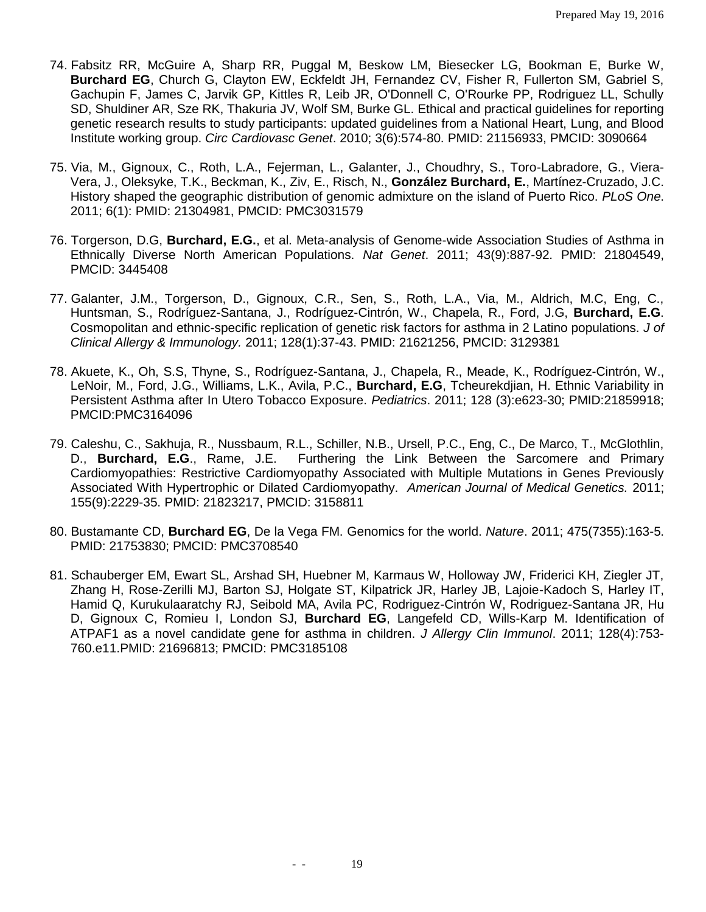- 74. Fabsitz RR, McGuire A, Sharp RR, Puggal M, Beskow LM, Biesecker LG, Bookman E, Burke W, **Burchard EG**, Church G, Clayton EW, Eckfeldt JH, Fernandez CV, Fisher R, Fullerton SM, Gabriel S, Gachupin F, James C, Jarvik GP, Kittles R, Leib JR, O'Donnell C, O'Rourke PP, Rodriguez LL, Schully SD, Shuldiner AR, Sze RK, Thakuria JV, Wolf SM, Burke GL. Ethical and practical guidelines for reporting genetic research results to study participants: updated guidelines from a National Heart, Lung, and Blood Institute working group. *Circ Cardiovasc Genet*. 2010; 3(6):574-80. PMID: 21156933, PMCID: 3090664
- 75. Via, M., Gignoux, C., Roth, L.A., Fejerman, L., Galanter, J., Choudhry, S., Toro-Labradore, G., Viera-Vera, J., Oleksyke, T.K., Beckman, K., Ziv, E., Risch, N., **González Burchard, E.**, Martínez-Cruzado, J.C. History shaped the geographic distribution of genomic admixture on the island of Puerto Rico. *PLoS One*. 2011; 6(1): PMID: 21304981, PMCID: PMC3031579
- 76. Torgerson, D.G, **Burchard, E.G.**, et al. Meta-analysis of Genome-wide Association Studies of Asthma in Ethnically Diverse North American Populations. *Nat Genet*. 2011; 43(9):887-92. PMID: 21804549, PMCID: 3445408
- 77. Galanter, J.M., Torgerson, D., Gignoux, C.R., Sen, S., Roth, L.A., Via, M., Aldrich, M.C, Eng, C., Huntsman, S., Rodríguez-Santana, J., Rodríguez-Cintrón, W., Chapela, R., Ford, J.G, **Burchard, E.G**. Cosmopolitan and ethnic-specific replication of genetic risk factors for asthma in 2 Latino populations. *J of Clinical Allergy & Immunology.* 2011; 128(1):37-43. PMID: 21621256, PMCID: 3129381
- 78. Akuete, K., Oh, S.S, Thyne, S., Rodríguez-Santana, J., Chapela, R., Meade, K., Rodríguez-Cintrón, W., LeNoir, M., Ford, J.G., Williams, L.K., Avila, P.C., **Burchard, E.G**, Tcheurekdjian, H. Ethnic Variability in Persistent Asthma after In Utero Tobacco Exposure. *Pediatrics*. 2011; 128 (3):e623-30; PMID:21859918; PMCID:PMC3164096
- 79. Caleshu, C., Sakhuja, R., Nussbaum, R.L., Schiller, N.B., Ursell, P.C., Eng, C., De Marco, T., McGlothlin, D., **Burchard, E.G**., Rame, J.E. Furthering the Link Between the Sarcomere and Primary Cardiomyopathies: Restrictive Cardiomyopathy Associated with Multiple Mutations in Genes Previously Associated With Hypertrophic or Dilated Cardiomyopathy. *American Journal of Medical Genetics.* 2011; 155(9):2229-35. PMID: 21823217, PMCID: 3158811
- 80. Bustamante CD, **Burchard EG**, De la Vega FM. Genomics for the world. *Nature*. 2011; 475(7355):163-5. PMID: 21753830; PMCID: PMC3708540
- 81. Schauberger EM, Ewart SL, Arshad SH, Huebner M, Karmaus W, Holloway JW, Friderici KH, Ziegler JT, Zhang H, Rose-Zerilli MJ, Barton SJ, Holgate ST, Kilpatrick JR, Harley JB, Lajoie-Kadoch S, Harley IT, Hamid Q, Kurukulaaratchy RJ, Seibold MA, Avila PC, Rodriguez-Cintrón W, Rodriguez-Santana JR, Hu D, Gignoux C, Romieu I, London SJ, **Burchard EG**, Langefeld CD, Wills-Karp M. Identification of ATPAF1 as a novel candidate gene for asthma in children. *J Allergy Clin Immunol*. 2011; 128(4):753- 760.e11.PMID: 21696813; PMCID: PMC3185108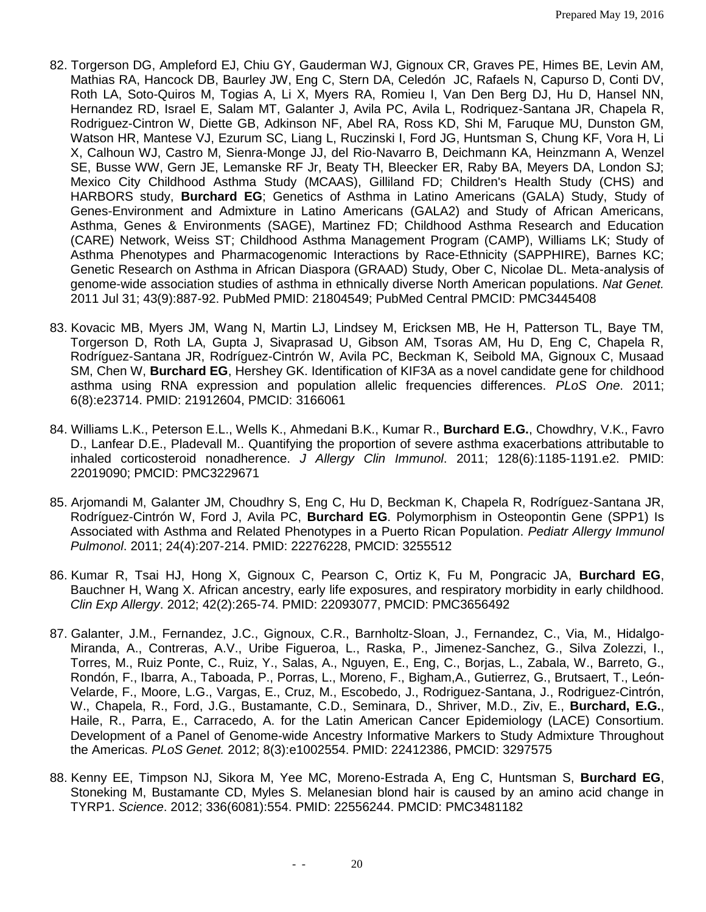- 82. Torgerson DG, Ampleford EJ, Chiu GY, Gauderman WJ, Gignoux CR, Graves PE, Himes BE, Levin AM, Mathias RA, Hancock DB, Baurley JW, Eng C, Stern DA, Celedón JC, Rafaels N, Capurso D, Conti DV, Roth LA, Soto-Quiros M, Togias A, Li X, Myers RA, Romieu I, Van Den Berg DJ, Hu D, Hansel NN, Hernandez RD, Israel E, Salam MT, Galanter J, Avila PC, Avila L, Rodriquez-Santana JR, Chapela R, Rodriguez-Cintron W, Diette GB, Adkinson NF, Abel RA, Ross KD, Shi M, Faruque MU, Dunston GM, Watson HR, Mantese VJ, Ezurum SC, Liang L, Ruczinski I, Ford JG, Huntsman S, Chung KF, Vora H, Li X, Calhoun WJ, Castro M, Sienra-Monge JJ, del Rio-Navarro B, Deichmann KA, Heinzmann A, Wenzel SE, Busse WW, Gern JE, Lemanske RF Jr, Beaty TH, Bleecker ER, Raby BA, Meyers DA, London SJ; Mexico City Childhood Asthma Study (MCAAS), Gilliland FD; Children's Health Study (CHS) and HARBORS study, **Burchard EG**; Genetics of Asthma in Latino Americans (GALA) Study, Study of Genes-Environment and Admixture in Latino Americans (GALA2) and Study of African Americans, Asthma, Genes & Environments (SAGE), Martinez FD; Childhood Asthma Research and Education (CARE) Network, Weiss ST; Childhood Asthma Management Program (CAMP), Williams LK; Study of Asthma Phenotypes and Pharmacogenomic Interactions by Race-Ethnicity (SAPPHIRE), Barnes KC; Genetic Research on Asthma in African Diaspora (GRAAD) Study, Ober C, Nicolae DL. Meta-analysis of genome-wide association studies of asthma in ethnically diverse North American populations. *Nat Genet.* 2011 Jul 31; 43(9):887-92. PubMed PMID: 21804549; PubMed Central PMCID: PMC3445408
- 83. Kovacic MB, Myers JM, Wang N, Martin LJ, Lindsey M, Ericksen MB, He H, Patterson TL, Baye TM, Torgerson D, Roth LA, Gupta J, Sivaprasad U, Gibson AM, Tsoras AM, Hu D, Eng C, Chapela R, Rodríguez-Santana JR, Rodríguez-Cintrón W, Avila PC, Beckman K, Seibold MA, Gignoux C, Musaad SM, Chen W, **Burchard EG**, Hershey GK. Identification of KIF3A as a novel candidate gene for childhood asthma using RNA expression and population allelic frequencies differences. *PLoS One*. 2011; 6(8):e23714. PMID: 21912604, PMCID: 3166061
- 84. Williams L.K., Peterson E.L., Wells K., Ahmedani B.K., Kumar R., **Burchard E.G.**, Chowdhry, V.K., Favro D., Lanfear D.E., Pladevall M.. Quantifying the proportion of severe asthma exacerbations attributable to inhaled corticosteroid nonadherence. *J Allergy Clin Immunol*. 2011; 128(6):1185-1191.e2. PMID: 22019090; PMCID: PMC3229671
- 85. Arjomandi M, Galanter JM, Choudhry S, Eng C, Hu D, Beckman K, Chapela R, Rodríguez-Santana JR, Rodríguez-Cintrón W, Ford J, Avila PC, **Burchard EG**. Polymorphism in Osteopontin Gene (SPP1) Is Associated with Asthma and Related Phenotypes in a Puerto Rican Population. *Pediatr Allergy Immunol Pulmonol*. 2011; 24(4):207-214. PMID: 22276228, PMCID: 3255512
- 86. Kumar R, Tsai HJ, Hong X, Gignoux C, Pearson C, Ortiz K, Fu M, Pongracic JA, **Burchard EG**, Bauchner H, Wang X. African ancestry, early life exposures, and respiratory morbidity in early childhood. *Clin Exp Allergy*. 2012; 42(2):265-74. PMID: 22093077, PMCID: PMC3656492
- 87. Galanter, J.M., Fernandez, J.C., Gignoux, C.R., Barnholtz-Sloan, J., Fernandez, C., Via, M., Hidalgo-Miranda, A., Contreras, A.V., Uribe Figueroa, L., Raska, P., Jimenez-Sanchez, G., Silva Zolezzi, I., Torres, M., Ruiz Ponte, C., Ruiz, Y., Salas, A., Nguyen, E., Eng, C., Borjas, L., Zabala, W., Barreto, G., Rondón, F., Ibarra, A., Taboada, P., Porras, L., Moreno, F., Bigham,A., Gutierrez, G., Brutsaert, T., León-Velarde, F., Moore, L.G., Vargas, E., Cruz, M., Escobedo, J., Rodriguez-Santana, J., Rodriguez-Cintrón, W., Chapela, R., Ford, J.G., Bustamante, C.D., Seminara, D., Shriver, M.D., Ziv, E., **Burchard, E.G.**, Haile, R., Parra, E., Carracedo, A. for the Latin American Cancer Epidemiology (LACE) Consortium. Development of a Panel of Genome-wide Ancestry Informative Markers to Study Admixture Throughout the Americas. *PLoS Genet.* 2012; 8(3):e1002554. PMID: 22412386, PMCID: 3297575
- 88. Kenny EE, Timpson NJ, Sikora M, Yee MC, Moreno-Estrada A, Eng C, Huntsman S, **Burchard EG**, Stoneking M, Bustamante CD, Myles S. Melanesian blond hair is caused by an amino acid change in TYRP1. *Science*. 2012; 336(6081):554. PMID: 22556244. PMCID: PMC3481182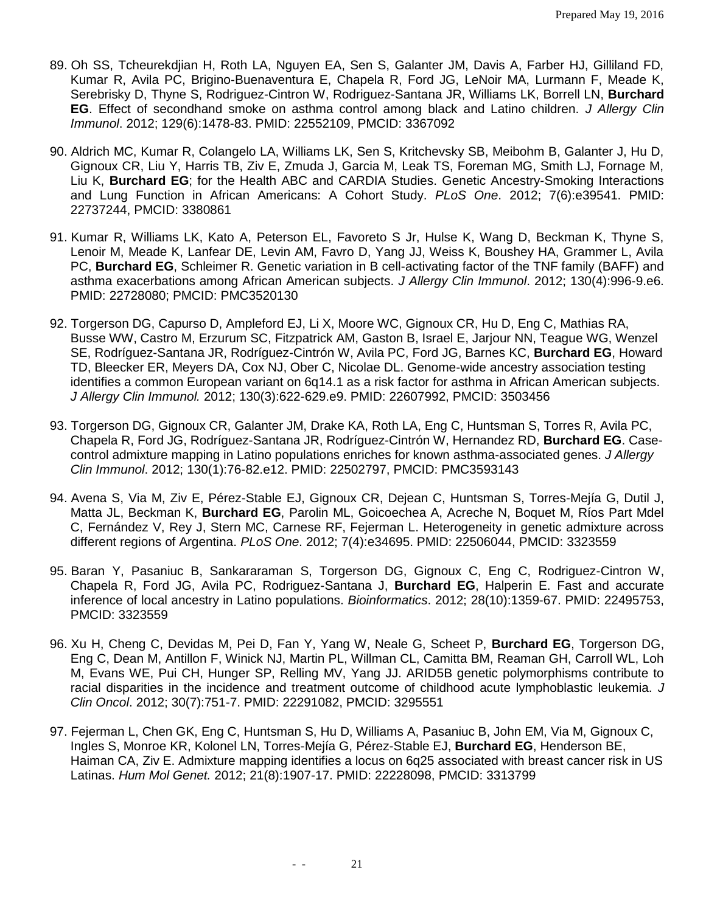- 89. Oh SS, Tcheurekdjian H, Roth LA, Nguyen EA, Sen S, Galanter JM, Davis A, Farber HJ, Gilliland FD, Kumar R, Avila PC, Brigino-Buenaventura E, Chapela R, Ford JG, LeNoir MA, Lurmann F, Meade K, Serebrisky D, Thyne S, Rodriguez-Cintron W, Rodriguez-Santana JR, Williams LK, Borrell LN, **Burchard EG**. Effect of secondhand smoke on asthma control among black and Latino children. *J Allergy Clin Immunol*. 2012; 129(6):1478-83. PMID: 22552109, PMCID: 3367092
- 90. Aldrich MC, Kumar R, Colangelo LA, Williams LK, Sen S, Kritchevsky SB, Meibohm B, Galanter J, Hu D, Gignoux CR, Liu Y, Harris TB, Ziv E, Zmuda J, Garcia M, Leak TS, Foreman MG, Smith LJ, Fornage M, Liu K, **Burchard EG**; for the Health ABC and CARDIA Studies. Genetic Ancestry-Smoking Interactions and Lung Function in African Americans: A Cohort Study. *PLoS One*. 2012; 7(6):e39541. PMID: 22737244, PMCID: 3380861
- 91. Kumar R, Williams LK, Kato A, Peterson EL, Favoreto S Jr, Hulse K, Wang D, Beckman K, Thyne S, Lenoir M, Meade K, Lanfear DE, Levin AM, Favro D, Yang JJ, Weiss K, Boushey HA, Grammer L, Avila PC, **Burchard EG**, Schleimer R. Genetic variation in B cell-activating factor of the TNF family (BAFF) and asthma exacerbations among African American subjects. *J Allergy Clin Immunol*. 2012; 130(4):996-9.e6. PMID: 22728080; PMCID: PMC3520130
- 92. Torgerson DG, Capurso D, Ampleford EJ, Li X, Moore WC, Gignoux CR, Hu D, Eng C, Mathias RA, Busse WW, Castro M, Erzurum SC, Fitzpatrick AM, Gaston B, Israel E, Jarjour NN, Teague WG, Wenzel SE, Rodríguez-Santana JR, Rodríguez-Cintrón W, Avila PC, Ford JG, Barnes KC, **Burchard EG**, Howard TD, Bleecker ER, Meyers DA, Cox NJ, Ober C, Nicolae DL. Genome-wide ancestry association testing identifies a common European variant on 6q14.1 as a risk factor for asthma in African American subjects. *J Allergy Clin Immunol.* 2012; 130(3):622-629.e9. PMID: 22607992, PMCID: 3503456
- 93. Torgerson DG, Gignoux CR, Galanter JM, Drake KA, Roth LA, Eng C, Huntsman S, Torres R, Avila PC, Chapela R, Ford JG, Rodríguez-Santana JR, Rodríguez-Cintrón W, Hernandez RD, **Burchard EG**. Casecontrol admixture mapping in Latino populations enriches for known asthma-associated genes. *J Allergy Clin Immunol*. 2012; 130(1):76-82.e12. PMID: 22502797, PMCID: PMC3593143
- 94. Avena S, Via M, Ziv E, Pérez-Stable EJ, Gignoux CR, Dejean C, Huntsman S, Torres-Mejía G, Dutil J, Matta JL, Beckman K, **Burchard EG**, Parolin ML, Goicoechea A, Acreche N, Boquet M, Ríos Part Mdel C, Fernández V, Rey J, Stern MC, Carnese RF, Fejerman L. Heterogeneity in genetic admixture across different regions of Argentina. *PLoS One*. 2012; 7(4):e34695. PMID: 22506044, PMCID: 3323559
- 95. Baran Y, Pasaniuc B, Sankararaman S, Torgerson DG, Gignoux C, Eng C, Rodriguez-Cintron W, Chapela R, Ford JG, Avila PC, Rodriguez-Santana J, **Burchard EG**, Halperin E. Fast and accurate inference of local ancestry in Latino populations. *Bioinformatics*. 2012; 28(10):1359-67. PMID: 22495753, PMCID: 3323559
- 96. Xu H, Cheng C, Devidas M, Pei D, Fan Y, Yang W, Neale G, Scheet P, **Burchard EG**, Torgerson DG, Eng C, Dean M, Antillon F, Winick NJ, Martin PL, Willman CL, Camitta BM, Reaman GH, Carroll WL, Loh M, Evans WE, Pui CH, Hunger SP, Relling MV, Yang JJ. ARID5B genetic polymorphisms contribute to racial disparities in the incidence and treatment outcome of childhood acute lymphoblastic leukemia. *J Clin Oncol*. 2012; 30(7):751-7. PMID: 22291082, PMCID: 3295551
- 97. Fejerman L, Chen GK, Eng C, Huntsman S, Hu D, Williams A, Pasaniuc B, John EM, Via M, Gignoux C, Ingles S, Monroe KR, Kolonel LN, Torres-Mejía G, Pérez-Stable EJ, **Burchard EG**, Henderson BE, Haiman CA, Ziv E. Admixture mapping identifies a locus on 6q25 associated with breast cancer risk in US Latinas. *Hum Mol Genet.* 2012; 21(8):1907-17. PMID: 22228098, PMCID: 3313799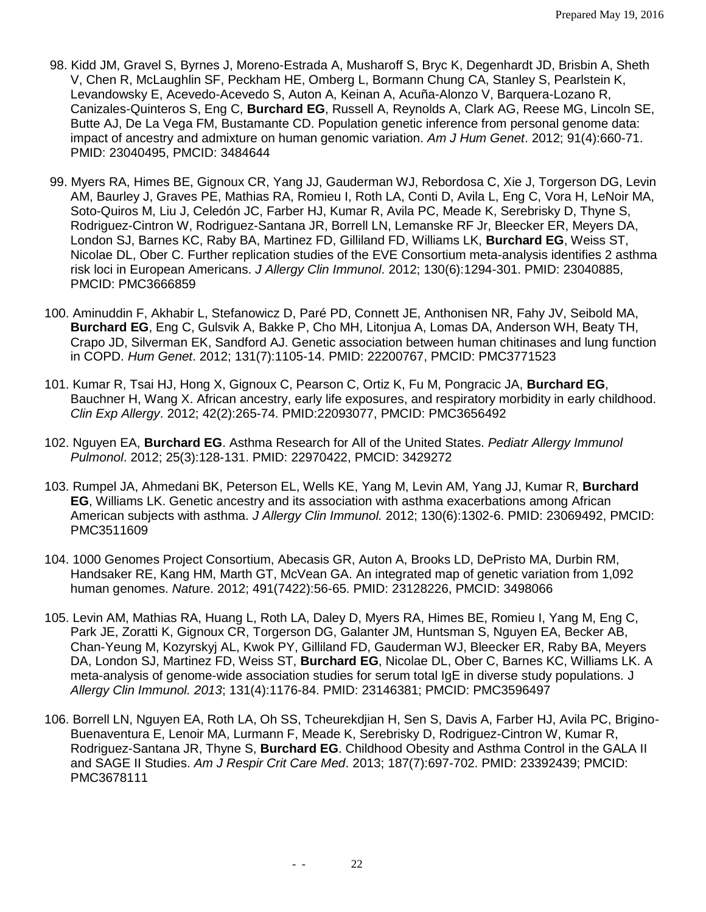- 98. Kidd JM, Gravel S, Byrnes J, Moreno-Estrada A, Musharoff S, Bryc K, Degenhardt JD, Brisbin A, Sheth V, Chen R, McLaughlin SF, Peckham HE, Omberg L, Bormann Chung CA, Stanley S, Pearlstein K, Levandowsky E, Acevedo-Acevedo S, Auton A, Keinan A, Acuña-Alonzo V, Barquera-Lozano R, Canizales-Quinteros S, Eng C, **Burchard EG**, Russell A, Reynolds A, Clark AG, Reese MG, Lincoln SE, Butte AJ, De La Vega FM, Bustamante CD. Population genetic inference from personal genome data: impact of ancestry and admixture on human genomic variation. *Am J Hum Genet*. 2012; 91(4):660-71. PMID: 23040495, PMCID: 3484644
- 99. Myers RA, Himes BE, Gignoux CR, Yang JJ, Gauderman WJ, Rebordosa C, Xie J, Torgerson DG, Levin AM, Baurley J, Graves PE, Mathias RA, Romieu I, Roth LA, Conti D, Avila L, Eng C, Vora H, LeNoir MA, Soto-Quiros M, Liu J, Celedón JC, Farber HJ, Kumar R, Avila PC, Meade K, Serebrisky D, Thyne S, Rodriguez-Cintron W, Rodriguez-Santana JR, Borrell LN, Lemanske RF Jr, Bleecker ER, Meyers DA, London SJ, Barnes KC, Raby BA, Martinez FD, Gilliland FD, Williams LK, **Burchard EG**, Weiss ST, Nicolae DL, Ober C. Further replication studies of the EVE Consortium meta-analysis identifies 2 asthma risk loci in European Americans. *J Allergy Clin Immunol*. 2012; 130(6):1294-301. PMID: 23040885, PMCID: PMC3666859
- 100. Aminuddin F, Akhabir L, Stefanowicz D, Paré PD, Connett JE, Anthonisen NR, Fahy JV, Seibold MA, **Burchard EG**, Eng C, Gulsvik A, Bakke P, Cho MH, Litonjua A, Lomas DA, Anderson WH, Beaty TH, Crapo JD, Silverman EK, Sandford AJ. Genetic association between human chitinases and lung function in COPD. *Hum Genet*. 2012; 131(7):1105-14. PMID: 22200767, PMCID: PMC3771523
- 101. Kumar R, Tsai HJ, Hong X, Gignoux C, Pearson C, Ortiz K, Fu M, Pongracic JA, **Burchard EG**, Bauchner H, Wang X. African ancestry, early life exposures, and respiratory morbidity in early childhood. *Clin Exp Allergy*. 2012; 42(2):265-74. PMID:22093077, PMCID: PMC3656492
- 102. Nguyen EA, **Burchard EG**. Asthma Research for All of the United States. *Pediatr Allergy Immunol Pulmonol*. 2012; 25(3):128-131. PMID: 22970422, PMCID: 3429272
- 103. Rumpel JA, Ahmedani BK, Peterson EL, Wells KE, Yang M, Levin AM, Yang JJ, Kumar R, **Burchard EG**, Williams LK. Genetic ancestry and its association with asthma exacerbations among African American subjects with asthma. *J Allergy Clin Immunol.* 2012; 130(6):1302-6. PMID: 23069492, PMCID: PMC3511609
- 104. 1000 Genomes Project Consortium, Abecasis GR, Auton A, Brooks LD, DePristo MA, Durbin RM, Handsaker RE, Kang HM, Marth GT, McVean GA. An integrated map of genetic variation from 1,092 human genomes. *Nat*ure. 2012; 491(7422):56-65. PMID: 23128226, PMCID: 3498066
- 105. Levin AM, Mathias RA, Huang L, Roth LA, Daley D, Myers RA, Himes BE, Romieu I, Yang M, Eng C, Park JE, Zoratti K, Gignoux CR, Torgerson DG, Galanter JM, Huntsman S, Nguyen EA, Becker AB, Chan-Yeung M, Kozyrskyj AL, Kwok PY, Gilliland FD, Gauderman WJ, Bleecker ER, Raby BA, Meyers DA, London SJ, Martinez FD, Weiss ST, **Burchard EG**, Nicolae DL, Ober C, Barnes KC, Williams LK. A meta-analysis of genome-wide association studies for serum total IgE in diverse study populations. J *Allergy Clin Immunol. 2013*; 131(4):1176-84. PMID: 23146381; PMCID: PMC3596497
- 106. Borrell LN, Nguyen EA, Roth LA, Oh SS, Tcheurekdjian H, Sen S, Davis A, Farber HJ, Avila PC, Brigino-Buenaventura E, Lenoir MA, Lurmann F, Meade K, Serebrisky D, Rodriguez-Cintron W, Kumar R, Rodriguez-Santana JR, Thyne S, **Burchard EG**. Childhood Obesity and Asthma Control in the GALA II and SAGE II Studies. *Am J Respir Crit Care Med*. 2013; 187(7):697-702. PMID: 23392439; PMCID: PMC3678111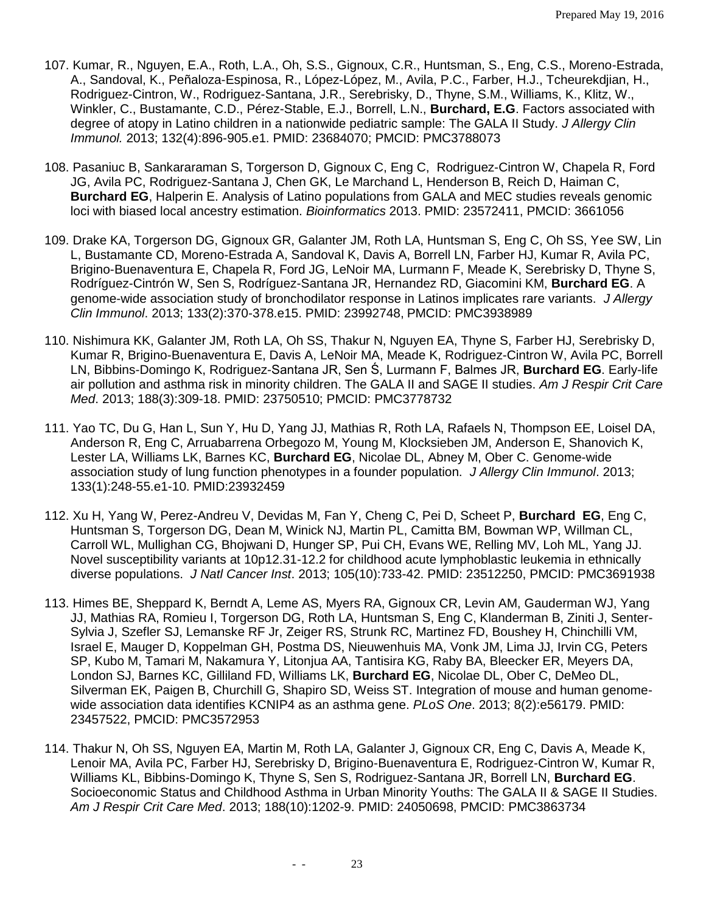- 107. Kumar, R., Nguyen, E.A., Roth, L.A., Oh, S.S., Gignoux, C.R., Huntsman, S., Eng, C.S., Moreno-Estrada, A., Sandoval, K., Peñaloza-Espinosa, R., López-López, M., Avila, P.C., Farber, H.J., Tcheurekdjian, H., Rodriguez-Cintron, W., Rodriguez-Santana, J.R., Serebrisky, D., Thyne, S.M., Williams, K., Klitz, W., Winkler, C., Bustamante, C.D., Pérez-Stable, E.J., Borrell, L.N., **Burchard, E.G**. Factors associated with degree of atopy in Latino children in a nationwide pediatric sample: The GALA II Study. *J Allergy Clin Immunol.* 2013; 132(4):896-905.e1. PMID: 23684070; PMCID: PMC3788073
- 108. Pasaniuc B, Sankararaman S, Torgerson D, Gignoux C, Eng C, Rodriguez-Cintron W, Chapela R, Ford JG, Avila PC, Rodriguez-Santana J, Chen GK, Le Marchand L, Henderson B, Reich D, Haiman C, **Burchard EG**, Halperin E. Analysis of Latino populations from GALA and MEC studies reveals genomic loci with biased local ancestry estimation. *Bioinformatics* 2013. PMID: 23572411, PMCID: 3661056
- 109. Drake KA, Torgerson DG, Gignoux GR, Galanter JM, Roth LA, Huntsman S, Eng C, Oh SS, Yee SW, Lin L, Bustamante CD, Moreno-Estrada A, Sandoval K, Davis A, Borrell LN, Farber HJ, Kumar R, Avila PC, Brigino-Buenaventura E, Chapela R, Ford JG, LeNoir MA, Lurmann F, Meade K, Serebrisky D, Thyne S, Rodríguez-Cintrón W, Sen S, Rodríguez-Santana JR, Hernandez RD, Giacomini KM, **Burchard EG**. A genome-wide association study of bronchodilator response in Latinos implicates rare variants. *J Allergy Clin Immunol*. 2013; 133(2):370-378.e15. PMID: 23992748, PMCID: PMC3938989
- 110. Nishimura KK, Galanter JM, Roth LA, Oh SS, Thakur N, Nguyen EA, Thyne S, Farber HJ, Serebrisky D, Kumar R, Brigino-Buenaventura E, Davis A, LeNoir MA, Meade K, Rodriguez-Cintron W, Avila PC, Borrell LN, Bibbins-Domingo K, Rodriguez-Santana JR, Sen Ś, Lurmann F, Balmes JR, **Burchard EG**. Early-life air pollution and asthma risk in minority children. The GALA II and SAGE II studies. *Am J Respir Crit Care Med*. 2013; 188(3):309-18. PMID: 23750510; PMCID: PMC3778732
- 111. Yao TC, Du G, Han L, Sun Y, Hu D, Yang JJ, Mathias R, Roth LA, Rafaels N, Thompson EE, Loisel DA, Anderson R, Eng C, Arruabarrena Orbegozo M, Young M, Klocksieben JM, Anderson E, Shanovich K, Lester LA, Williams LK, Barnes KC, **Burchard EG**, Nicolae DL, Abney M, Ober C. Genome-wide association study of lung function phenotypes in a founder population. *J Allergy Clin Immunol*. 2013; 133(1):248-55.e1-10. PMID:23932459
- 112. Xu H, Yang W, Perez-Andreu V, Devidas M, Fan Y, Cheng C, Pei D, Scheet P, **Burchard EG**, Eng C, Huntsman S, Torgerson DG, Dean M, Winick NJ, Martin PL, Camitta BM, Bowman WP, Willman CL, Carroll WL, Mullighan CG, Bhojwani D, Hunger SP, Pui CH, Evans WE, Relling MV, Loh ML, Yang JJ. Novel susceptibility variants at 10p12.31-12.2 for childhood acute lymphoblastic leukemia in ethnically diverse populations. *J Natl Cancer Inst*. 2013; 105(10):733-42. PMID: 23512250, PMCID: PMC3691938
- 113. Himes BE, Sheppard K, Berndt A, Leme AS, Myers RA, Gignoux CR, Levin AM, Gauderman WJ, Yang JJ, Mathias RA, Romieu I, Torgerson DG, Roth LA, Huntsman S, Eng C, Klanderman B, Ziniti J, Senter-Sylvia J, Szefler SJ, Lemanske RF Jr, Zeiger RS, Strunk RC, Martinez FD, Boushey H, Chinchilli VM, Israel E, Mauger D, Koppelman GH, Postma DS, Nieuwenhuis MA, Vonk JM, Lima JJ, Irvin CG, Peters SP, Kubo M, Tamari M, Nakamura Y, Litonjua AA, Tantisira KG, Raby BA, Bleecker ER, Meyers DA, London SJ, Barnes KC, Gilliland FD, Williams LK, **Burchard EG**, Nicolae DL, Ober C, DeMeo DL, Silverman EK, Paigen B, Churchill G, Shapiro SD, Weiss ST. Integration of mouse and human genomewide association data identifies KCNIP4 as an asthma gene. *PLoS One*. 2013; 8(2):e56179. PMID: 23457522, PMCID: PMC3572953
- 114. Thakur N, Oh SS, Nguyen EA, Martin M, Roth LA, Galanter J, Gignoux CR, Eng C, Davis A, Meade K, Lenoir MA, Avila PC, Farber HJ, Serebrisky D, Brigino-Buenaventura E, Rodriguez-Cintron W, Kumar R, Williams KL, Bibbins-Domingo K, Thyne S, Sen S, Rodriguez-Santana JR, Borrell LN, **Burchard EG**. Socioeconomic Status and Childhood Asthma in Urban Minority Youths: The GALA II & SAGE II Studies. *Am J Respir Crit Care Med*. 2013; 188(10):1202-9. PMID: 24050698, PMCID: PMC3863734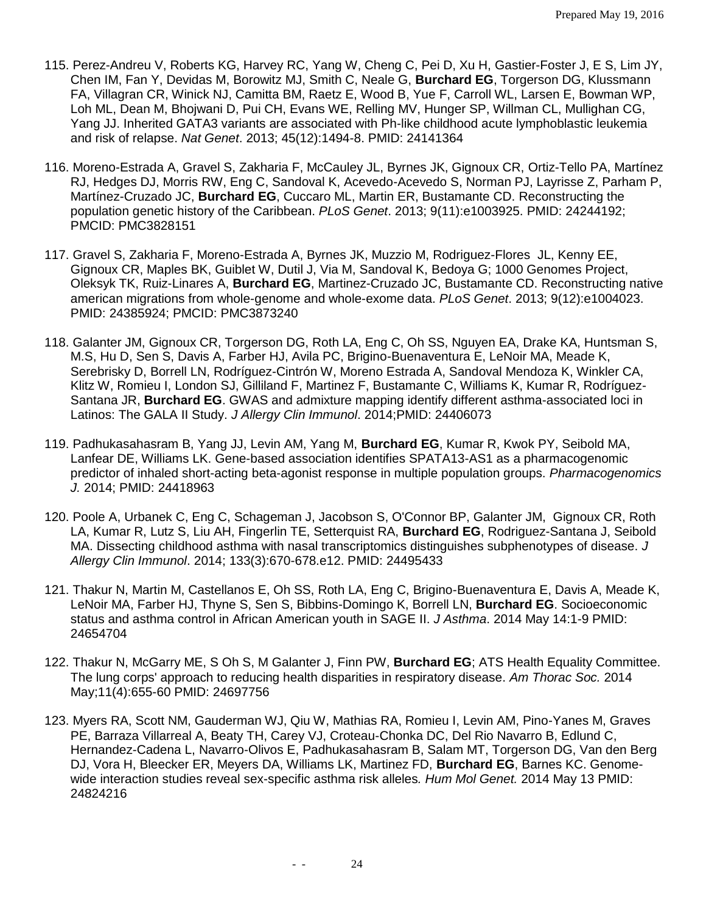- 115. Perez-Andreu V, Roberts KG, Harvey RC, Yang W, Cheng C, Pei D, Xu H, Gastier-Foster J, E S, Lim JY, Chen IM, Fan Y, Devidas M, Borowitz MJ, Smith C, Neale G, **Burchard EG**, Torgerson DG, Klussmann FA, Villagran CR, Winick NJ, Camitta BM, Raetz E, Wood B, Yue F, Carroll WL, Larsen E, Bowman WP, Loh ML, Dean M, Bhojwani D, Pui CH, Evans WE, Relling MV, Hunger SP, Willman CL, Mullighan CG, Yang JJ. Inherited GATA3 variants are associated with Ph-like childhood acute lymphoblastic leukemia and risk of relapse. *Nat Genet*. 2013; 45(12):1494-8. PMID: 24141364
- 116. Moreno-Estrada A, Gravel S, Zakharia F, McCauley JL, Byrnes JK, Gignoux CR, Ortiz-Tello PA, Martínez RJ, Hedges DJ, Morris RW, Eng C, Sandoval K, Acevedo-Acevedo S, Norman PJ, Layrisse Z, Parham P, Martínez-Cruzado JC, **Burchard EG**, Cuccaro ML, Martin ER, Bustamante CD. Reconstructing the population genetic history of the Caribbean. *PLoS Genet*. 2013; 9(11):e1003925. PMID: 24244192; PMCID: PMC3828151
- 117. Gravel S, Zakharia F, Moreno-Estrada A, Byrnes JK, Muzzio M, Rodriguez-Flores JL, Kenny EE, Gignoux CR, Maples BK, Guiblet W, Dutil J, Via M, Sandoval K, Bedoya G; 1000 Genomes Project, Oleksyk TK, Ruiz-Linares A, **Burchard EG**, Martinez-Cruzado JC, Bustamante CD. Reconstructing native american migrations from whole-genome and whole-exome data. *PLoS Genet*. 2013; 9(12):e1004023. PMID: 24385924; PMCID: PMC3873240
- 118. Galanter JM, Gignoux CR, Torgerson DG, Roth LA, Eng C, Oh SS, Nguyen EA, Drake KA, Huntsman S, M.S, Hu D, Sen S, Davis A, Farber HJ, Avila PC, Brigino-Buenaventura E, LeNoir MA, Meade K, Serebrisky D, Borrell LN, Rodríguez-Cintrón W, Moreno Estrada A, Sandoval Mendoza K, Winkler CA, Klitz W, Romieu I, London SJ, Gilliland F, Martinez F, Bustamante C, Williams K, Kumar R, Rodríguez-Santana JR, **Burchard EG**. GWAS and admixture mapping identify different asthma-associated loci in Latinos: The GALA II Study. *J Allergy Clin Immunol*. 2014;PMID: 24406073
- 119. Padhukasahasram B, Yang JJ, Levin AM, Yang M, **Burchard EG**, Kumar R, Kwok PY, Seibold MA, Lanfear DE, Williams LK. Gene-based association identifies SPATA13-AS1 as a pharmacogenomic predictor of inhaled short-acting beta-agonist response in multiple population groups. *Pharmacogenomics J.* 2014; PMID: 24418963
- 120. Poole A, Urbanek C, Eng C, Schageman J, Jacobson S, O'Connor BP, Galanter JM, Gignoux CR, Roth LA, Kumar R, Lutz S, Liu AH, Fingerlin TE, Setterquist RA, **Burchard EG**, Rodriguez-Santana J, Seibold MA. Dissecting childhood asthma with nasal transcriptomics distinguishes subphenotypes of disease. *J Allergy Clin Immunol*. 2014; 133(3):670-678.e12. PMID: 24495433
- 121. Thakur N, Martin M, Castellanos E, Oh SS, Roth LA, Eng C, Brigino-Buenaventura E, Davis A, Meade K, LeNoir MA, Farber HJ, Thyne S, Sen S, Bibbins-Domingo K, Borrell LN, **Burchard EG**. Socioeconomic status and asthma control in African American youth in SAGE II. *J Asthma*. 2014 May 14:1-9 PMID: 24654704
- 122. Thakur N, McGarry ME, S Oh S, M Galanter J, Finn PW, **Burchard EG**; ATS Health Equality Committee. The lung corps' approach to reducing health disparities in respiratory disease. *Am Thorac Soc.* 2014 May;11(4):655-60 PMID: 24697756
- 123. Myers RA, Scott NM, Gauderman WJ, Qiu W, Mathias RA, Romieu I, Levin AM, Pino-Yanes M, Graves PE, Barraza Villarreal A, Beaty TH, Carey VJ, Croteau-Chonka DC, Del Rio Navarro B, Edlund C, Hernandez-Cadena L, Navarro-Olivos E, Padhukasahasram B, Salam MT, Torgerson DG, Van den Berg DJ, Vora H, Bleecker ER, Meyers DA, Williams LK, Martinez FD, **Burchard EG**, Barnes KC. Genomewide interaction studies reveal sex-specific asthma risk alleles*. Hum Mol Genet.* 2014 May 13 PMID: 24824216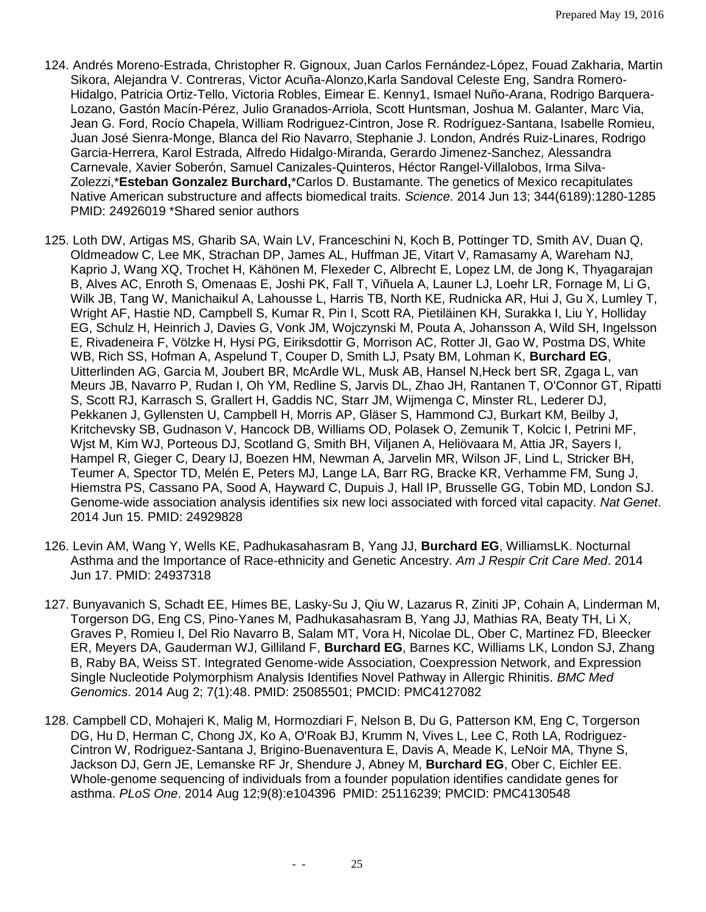- 124. Andrés Moreno-Estrada, Christopher R. Gignoux, Juan Carlos Fernández-López, Fouad Zakharia, Martin Sikora, Alejandra V. Contreras, Victor Acuña-Alonzo,Karla Sandoval Celeste Eng, Sandra Romero-Hidalgo, Patricia Ortiz-Tello, Victoria Robles, Eimear E. Kenny1, Ismael Nuño-Arana, Rodrigo Barquera-Lozano, Gastón Macín-Pérez, Julio Granados-Arriola, Scott Huntsman, Joshua M. Galanter, Marc Via, Jean G. Ford, Rocío Chapela, William Rodriguez-Cintron, Jose R. Rodríguez-Santana, Isabelle Romieu, Juan José Sienra-Monge, Blanca del Rio Navarro, Stephanie J. London, Andrés Ruiz-Linares, Rodrigo Garcia-Herrera, Karol Estrada, Alfredo Hidalgo-Miranda, Gerardo Jimenez-Sanchez, Alessandra Carnevale, Xavier Soberón, Samuel Canizales-Quinteros, Héctor Rangel-Villalobos, Irma Silva-Zolezzi,\***Esteban Gonzalez Burchard,**\*Carlos D. Bustamante. The genetics of Mexico recapitulates Native American substructure and affects biomedical traits. *Science*. 2014 Jun 13; 344(6189):1280-1285 PMID: 24926019 \*Shared senior authors
- 125. Loth DW, Artigas MS, Gharib SA, Wain LV, Franceschini N, Koch B, Pottinger TD, Smith AV, Duan Q, Oldmeadow C, Lee MK, Strachan DP, James AL, Huffman JE, Vitart V, Ramasamy A, Wareham NJ, Kaprio J, Wang XQ, Trochet H, Kähönen M, Flexeder C, Albrecht E, Lopez LM, de Jong K, Thyagarajan B, Alves AC, Enroth S, Omenaas E, Joshi PK, Fall T, Viñuela A, Launer LJ, Loehr LR, Fornage M, Li G, Wilk JB, Tang W, Manichaikul A, Lahousse L, Harris TB, North KE, Rudnicka AR, Hui J, Gu X, Lumley T, Wright AF, Hastie ND, Campbell S, Kumar R, Pin I, Scott RA, Pietiläinen KH, Surakka I, Liu Y, Holliday EG, Schulz H, Heinrich J, Davies G, Vonk JM, Wojczynski M, Pouta A, Johansson A, Wild SH, Ingelsson E, Rivadeneira F, Völzke H, Hysi PG, Eiriksdottir G, Morrison AC, Rotter JI, Gao W, Postma DS, White WB, Rich SS, Hofman A, Aspelund T, Couper D, Smith LJ, Psaty BM, Lohman K, **Burchard EG**, Uitterlinden AG, Garcia M, Joubert BR, McArdle WL, Musk AB, Hansel N,Heck bert SR, Zgaga L, van Meurs JB, Navarro P, Rudan I, Oh YM, Redline S, Jarvis DL, Zhao JH, Rantanen T, O'Connor GT, Ripatti S, Scott RJ, Karrasch S, Grallert H, Gaddis NC, Starr JM, Wijmenga C, Minster RL, Lederer DJ, Pekkanen J, Gyllensten U, Campbell H, Morris AP, Gläser S, Hammond CJ, Burkart KM, Beilby J, Kritchevsky SB, Gudnason V, Hancock DB, Williams OD, Polasek O, Zemunik T, Kolcic I, Petrini MF, Wist M. Kim WJ, Porteous DJ, Scotland G, Smith BH, Viljanen A, Heliövaara M, Attia JR, Sayers I, Hampel R, Gieger C, Deary IJ, Boezen HM, Newman A, Jarvelin MR, Wilson JF, Lind L, Stricker BH, Teumer A, Spector TD, Melén E, Peters MJ, Lange LA, Barr RG, Bracke KR, Verhamme FM, Sung J, Hiemstra PS, Cassano PA, Sood A, Hayward C, Dupuis J, Hall IP, Brusselle GG, Tobin MD, London SJ. Genome-wide association analysis identifies six new loci associated with forced vital capacity. *Nat Genet*. 2014 Jun 15. PMID: 24929828
- 126. Levin AM, Wang Y, Wells KE, Padhukasahasram B, Yang JJ, **Burchard EG**, WilliamsLK. Nocturnal Asthma and the Importance of Race-ethnicity and Genetic Ancestry. *Am J Respir Crit Care Med*. 2014 Jun 17. PMID: 24937318
- 127. Bunyavanich S, Schadt EE, Himes BE, Lasky-Su J, Qiu W, Lazarus R, Ziniti JP, Cohain A, Linderman M, Torgerson DG, Eng CS, Pino-Yanes M, Padhukasahasram B, Yang JJ, Mathias RA, Beaty TH, Li X, Graves P, Romieu I, Del Rio Navarro B, Salam MT, Vora H, Nicolae DL, Ober C, Martinez FD, Bleecker ER, Meyers DA, Gauderman WJ, Gilliland F, **Burchard EG**, Barnes KC, Williams LK, London SJ, Zhang B, Raby BA, Weiss ST. Integrated Genome-wide Association, Coexpression Network, and Expression Single Nucleotide Polymorphism Analysis Identifies Novel Pathway in Allergic Rhinitis. *BMC Med Genomics*. 2014 Aug 2; 7(1):48. PMID: 25085501; PMCID: PMC4127082
- 128. Campbell CD, Mohajeri K, Malig M, Hormozdiari F, Nelson B, Du G, Patterson KM, Eng C, Torgerson DG, Hu D, Herman C, Chong JX, Ko A, O'Roak BJ, Krumm N, Vives L, Lee C, Roth LA, Rodriguez-Cintron W, Rodriguez-Santana J, Brigino-Buenaventura E, Davis A, Meade K, LeNoir MA, Thyne S, Jackson DJ, Gern JE, Lemanske RF Jr, Shendure J, Abney M, **Burchard EG**, Ober C, Eichler EE. Whole-genome sequencing of individuals from a founder population identifies candidate genes for asthma. *PLoS One*. 2014 Aug 12;9(8):e104396 PMID: 25116239; PMCID: PMC4130548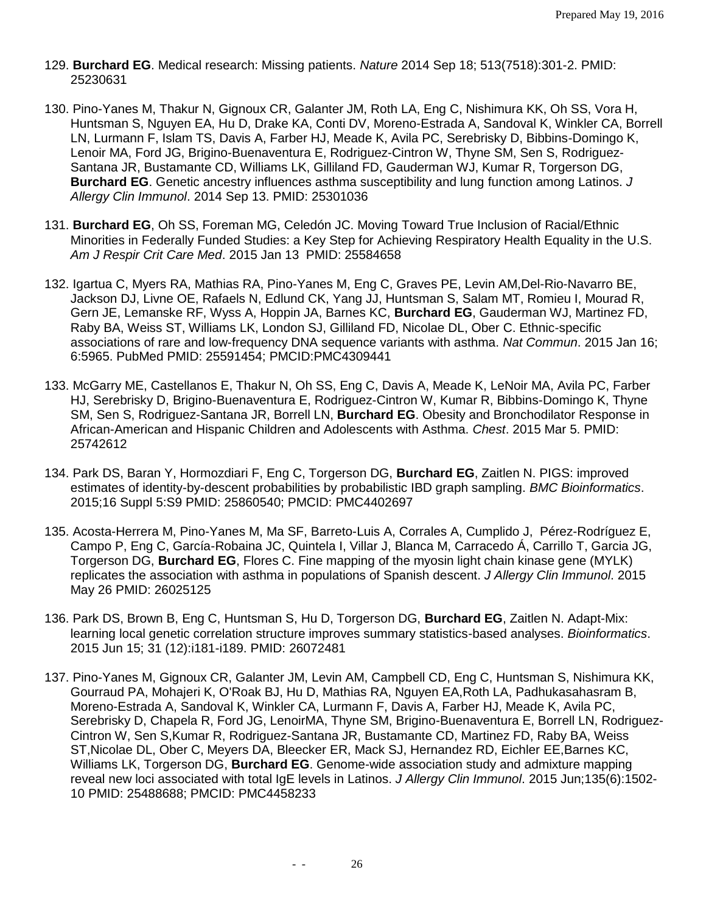- 129. **Burchard EG**. Medical research: Missing patients. *Nature* 2014 Sep 18; 513(7518):301-2. PMID: 25230631
- 130. Pino-Yanes M, Thakur N, Gignoux CR, Galanter JM, Roth LA, Eng C, Nishimura KK, Oh SS, Vora H, Huntsman S, Nguyen EA, Hu D, Drake KA, Conti DV, Moreno-Estrada A, Sandoval K, Winkler CA, Borrell LN, Lurmann F, Islam TS, Davis A, Farber HJ, Meade K, Avila PC, Serebrisky D, Bibbins-Domingo K, Lenoir MA, Ford JG, Brigino-Buenaventura E, Rodriguez-Cintron W, Thyne SM, Sen S, Rodriguez-Santana JR, Bustamante CD, Williams LK, Gilliland FD, Gauderman WJ, Kumar R, Torgerson DG, **Burchard EG**. Genetic ancestry influences asthma susceptibility and lung function among Latinos. *J Allergy Clin Immunol*. 2014 Sep 13. PMID: 25301036
- 131. **Burchard EG**, Oh SS, Foreman MG, Celedón JC. Moving Toward True Inclusion of Racial/Ethnic Minorities in Federally Funded Studies: a Key Step for Achieving Respiratory Health Equality in the U.S. *Am J Respir Crit Care Med*. 2015 Jan 13 PMID: 25584658
- 132. Igartua C, Myers RA, Mathias RA, Pino-Yanes M, Eng C, Graves PE, Levin AM,Del-Rio-Navarro BE, Jackson DJ, Livne OE, Rafaels N, Edlund CK, Yang JJ, Huntsman S, Salam MT, Romieu I, Mourad R, Gern JE, Lemanske RF, Wyss A, Hoppin JA, Barnes KC, **Burchard EG**, Gauderman WJ, Martinez FD, Raby BA, Weiss ST, Williams LK, London SJ, Gilliland FD, Nicolae DL, Ober C. Ethnic-specific associations of rare and low-frequency DNA sequence variants with asthma. *Nat Commun*. 2015 Jan 16; 6:5965. PubMed PMID: 25591454; PMCID:PMC4309441
- 133. McGarry ME, Castellanos E, Thakur N, Oh SS, Eng C, Davis A, Meade K, LeNoir MA, Avila PC, Farber HJ, Serebrisky D, Brigino-Buenaventura E, Rodriguez-Cintron W, Kumar R, Bibbins-Domingo K, Thyne SM, Sen S, Rodriguez-Santana JR, Borrell LN, **Burchard EG**. Obesity and Bronchodilator Response in African-American and Hispanic Children and Adolescents with Asthma. *Chest*. 2015 Mar 5. PMID: 25742612
- 134. Park DS, Baran Y, Hormozdiari F, Eng C, Torgerson DG, **Burchard EG**, Zaitlen N. PIGS: improved estimates of identity-by-descent probabilities by probabilistic IBD graph sampling. *BMC Bioinformatics*. 2015;16 Suppl 5:S9 PMID: 25860540; PMCID: PMC4402697
- 135. Acosta-Herrera M, Pino-Yanes M, Ma SF, Barreto-Luis A, Corrales A, Cumplido J, Pérez-Rodríguez E, Campo P, Eng C, García-Robaina JC, Quintela I, Villar J, Blanca M, Carracedo Á, Carrillo T, Garcia JG, Torgerson DG, **Burchard EG**, Flores C. Fine mapping of the myosin light chain kinase gene (MYLK) replicates the association with asthma in populations of Spanish descent. *J Allergy Clin Immunol*. 2015 May 26 PMID: 26025125
- 136. Park DS, Brown B, Eng C, Huntsman S, Hu D, Torgerson DG, **Burchard EG**, Zaitlen N. Adapt-Mix: learning local genetic correlation structure improves summary statistics-based analyses. *Bioinformatics*. 2015 Jun 15; 31 (12):i181-i189. PMID: 26072481
- 137. Pino-Yanes M, Gignoux CR, Galanter JM, Levin AM, Campbell CD, Eng C, Huntsman S, Nishimura KK, Gourraud PA, Mohajeri K, O'Roak BJ, Hu D, Mathias RA, Nguyen EA,Roth LA, Padhukasahasram B, Moreno-Estrada A, Sandoval K, Winkler CA, Lurmann F, Davis A, Farber HJ, Meade K, Avila PC, Serebrisky D, Chapela R, Ford JG, LenoirMA, Thyne SM, Brigino-Buenaventura E, Borrell LN, Rodriguez-Cintron W, Sen S,Kumar R, Rodriguez-Santana JR, Bustamante CD, Martinez FD, Raby BA, Weiss ST,Nicolae DL, Ober C, Meyers DA, Bleecker ER, Mack SJ, Hernandez RD, Eichler EE,Barnes KC, Williams LK, Torgerson DG, **Burchard EG**. Genome-wide association study and admixture mapping reveal new loci associated with total IgE levels in Latinos. *J Allergy Clin Immunol*. 2015 Jun;135(6):1502- 10 PMID: 25488688; PMCID: PMC4458233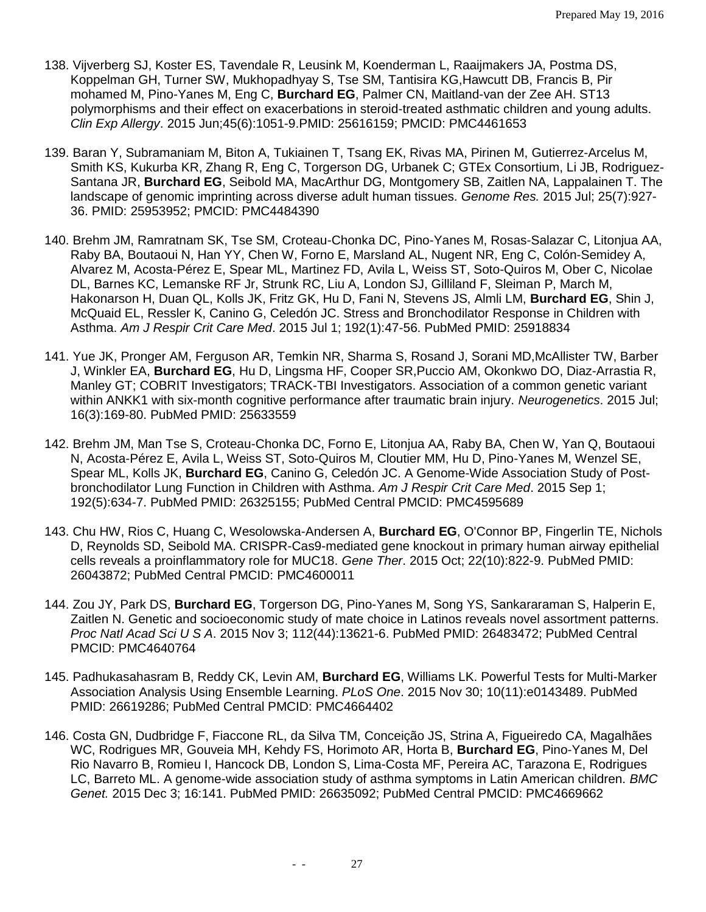- 138. Vijverberg SJ, Koster ES, Tavendale R, Leusink M, Koenderman L, Raaijmakers JA, Postma DS, Koppelman GH, Turner SW, Mukhopadhyay S, Tse SM, Tantisira KG,Hawcutt DB, Francis B, Pir mohamed M, Pino-Yanes M, Eng C, **Burchard EG**, Palmer CN, Maitland-van der Zee AH. ST13 polymorphisms and their effect on exacerbations in steroid-treated asthmatic children and young adults. *Clin Exp Allergy*. 2015 Jun;45(6):1051-9.PMID: 25616159; PMCID: PMC4461653
- 139. Baran Y, Subramaniam M, Biton A, Tukiainen T, Tsang EK, Rivas MA, Pirinen M, Gutierrez-Arcelus M, Smith KS, Kukurba KR, Zhang R, Eng C, Torgerson DG, Urbanek C; GTEx Consortium, Li JB, Rodriguez-Santana JR, **Burchard EG**, Seibold MA, MacArthur DG, Montgomery SB, Zaitlen NA, Lappalainen T. The landscape of genomic imprinting across diverse adult human tissues. *Genome Res.* 2015 Jul; 25(7):927- 36. PMID: 25953952; PMCID: PMC4484390
- 140. Brehm JM, Ramratnam SK, Tse SM, Croteau-Chonka DC, Pino-Yanes M, Rosas-Salazar C, Litonjua AA, Raby BA, Boutaoui N, Han YY, Chen W, Forno E, Marsland AL, Nugent NR, Eng C, Colón-Semidey A, Alvarez M, Acosta-Pérez E, Spear ML, Martinez FD, Avila L, Weiss ST, Soto-Quiros M, Ober C, Nicolae DL, Barnes KC, Lemanske RF Jr, Strunk RC, Liu A, London SJ, Gilliland F, Sleiman P, March M, Hakonarson H, Duan QL, Kolls JK, Fritz GK, Hu D, Fani N, Stevens JS, Almli LM, **Burchard EG**, Shin J, McQuaid EL, Ressler K, Canino G, Celedón JC. Stress and Bronchodilator Response in Children with Asthma. *Am J Respir Crit Care Med*. 2015 Jul 1; 192(1):47-56. PubMed PMID: 25918834
- 141. Yue JK, Pronger AM, Ferguson AR, Temkin NR, Sharma S, Rosand J, Sorani MD,McAllister TW, Barber J, Winkler EA, **Burchard EG**, Hu D, Lingsma HF, Cooper SR,Puccio AM, Okonkwo DO, Diaz-Arrastia R, Manley GT; COBRIT Investigators; TRACK-TBI Investigators. Association of a common genetic variant within ANKK1 with six-month cognitive performance after traumatic brain injury. *Neurogenetics*. 2015 Jul; 16(3):169-80. PubMed PMID: 25633559
- 142. Brehm JM, Man Tse S, Croteau-Chonka DC, Forno E, Litonjua AA, Raby BA, Chen W, Yan Q, Boutaoui N, Acosta-Pérez E, Avila L, Weiss ST, Soto-Quiros M, Cloutier MM, Hu D, Pino-Yanes M, Wenzel SE, Spear ML, Kolls JK, **Burchard EG**, Canino G, Celedón JC. A Genome-Wide Association Study of Postbronchodilator Lung Function in Children with Asthma. *Am J Respir Crit Care Med*. 2015 Sep 1; 192(5):634-7. PubMed PMID: 26325155; PubMed Central PMCID: PMC4595689
- 143. Chu HW, Rios C, Huang C, Wesolowska-Andersen A, **Burchard EG**, O'Connor BP, Fingerlin TE, Nichols D, Reynolds SD, Seibold MA. CRISPR-Cas9-mediated gene knockout in primary human airway epithelial cells reveals a proinflammatory role for MUC18. *Gene Ther*. 2015 Oct; 22(10):822-9. PubMed PMID: 26043872; PubMed Central PMCID: PMC4600011
- 144. Zou JY, Park DS, **Burchard EG**, Torgerson DG, Pino-Yanes M, Song YS, Sankararaman S, Halperin E, Zaitlen N. Genetic and socioeconomic study of mate choice in Latinos reveals novel assortment patterns. *Proc Natl Acad Sci U S A*. 2015 Nov 3; 112(44):13621-6. PubMed PMID: 26483472; PubMed Central PMCID: PMC4640764
- 145. Padhukasahasram B, Reddy CK, Levin AM, **Burchard EG**, Williams LK. Powerful Tests for Multi-Marker Association Analysis Using Ensemble Learning. *PLoS One*. 2015 Nov 30; 10(11):e0143489. PubMed PMID: 26619286; PubMed Central PMCID: PMC4664402
- 146. Costa GN, Dudbridge F, Fiaccone RL, da Silva TM, Conceição JS, Strina A, Figueiredo CA, Magalhães WC, Rodrigues MR, Gouveia MH, Kehdy FS, Horimoto AR, Horta B, **Burchard EG**, Pino-Yanes M, Del Rio Navarro B, Romieu I, Hancock DB, London S, Lima-Costa MF, Pereira AC, Tarazona E, Rodrigues LC, Barreto ML. A genome-wide association study of asthma symptoms in Latin American children. *BMC Genet.* 2015 Dec 3; 16:141. PubMed PMID: 26635092; PubMed Central PMCID: PMC4669662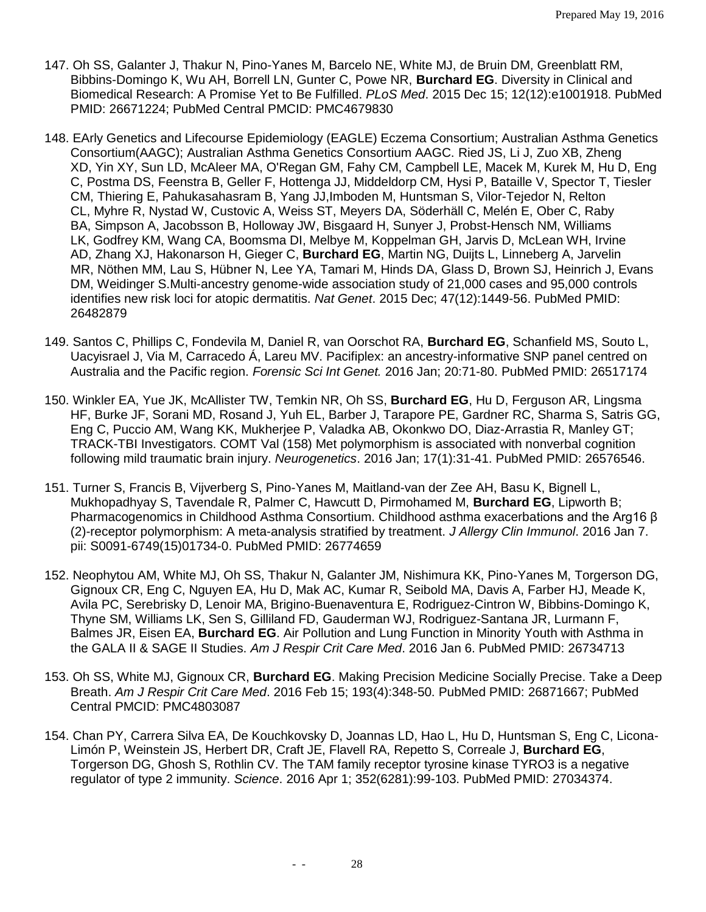- 147. Oh SS, Galanter J, Thakur N, Pino-Yanes M, Barcelo NE, White MJ, de Bruin DM, Greenblatt RM, Bibbins-Domingo K, Wu AH, Borrell LN, Gunter C, Powe NR, **Burchard EG**. Diversity in Clinical and Biomedical Research: A Promise Yet to Be Fulfilled. *PLoS Med*. 2015 Dec 15; 12(12):e1001918. PubMed PMID: 26671224; PubMed Central PMCID: PMC4679830
- 148. EArly Genetics and Lifecourse Epidemiology (EAGLE) Eczema Consortium; Australian Asthma Genetics Consortium(AAGC); Australian Asthma Genetics Consortium AAGC. [Ried JS,](http://www.ncbi.nlm.nih.gov/pubmed/?term=Ried%20JS) [Li J,](http://www.ncbi.nlm.nih.gov/pubmed/?term=Li%20J) [Zuo XB,](http://www.ncbi.nlm.nih.gov/pubmed/?term=Zuo%20XB) [Zheng](http://www.ncbi.nlm.nih.gov/pubmed/?term=Zheng%20XD)  [XD,](http://www.ncbi.nlm.nih.gov/pubmed/?term=Zheng%20XD) [Yin XY,](http://www.ncbi.nlm.nih.gov/pubmed/?term=Yin%20XY) [Sun LD,](http://www.ncbi.nlm.nih.gov/pubmed/?term=Sun%20LD) [McAleer MA,](http://www.ncbi.nlm.nih.gov/pubmed/?term=McAleer%20MA) [O'Regan GM,](http://www.ncbi.nlm.nih.gov/pubmed/?term=O%27Regan%20GM) [Fahy CM,](http://www.ncbi.nlm.nih.gov/pubmed/?term=Fahy%20CM) [Campbell LE,](http://www.ncbi.nlm.nih.gov/pubmed/?term=Campbell%20LE) [Macek M,](http://www.ncbi.nlm.nih.gov/pubmed/?term=Macek%20M) [Kurek M,](http://www.ncbi.nlm.nih.gov/pubmed/?term=Kurek%20M) [Hu D,](http://www.ncbi.nlm.nih.gov/pubmed/?term=Hu%20D) [Eng](http://www.ncbi.nlm.nih.gov/pubmed/?term=Eng%20C)  [C,](http://www.ncbi.nlm.nih.gov/pubmed/?term=Eng%20C) [Postma DS,](http://www.ncbi.nlm.nih.gov/pubmed/?term=Postma%20DS) [Feenstra B,](http://www.ncbi.nlm.nih.gov/pubmed/?term=Feenstra%20B) [Geller F,](http://www.ncbi.nlm.nih.gov/pubmed/?term=Geller%20F) [Hottenga JJ,](http://www.ncbi.nlm.nih.gov/pubmed/?term=Hottenga%20JJ) [Middeldorp CM,](http://www.ncbi.nlm.nih.gov/pubmed/?term=Middeldorp%20CM) [Hysi P,](http://www.ncbi.nlm.nih.gov/pubmed/?term=Hysi%20P) [Bataille V,](http://www.ncbi.nlm.nih.gov/pubmed/?term=Bataille%20V) [Spector T,](http://www.ncbi.nlm.nih.gov/pubmed/?term=Spector%20T) [Tiesler](http://www.ncbi.nlm.nih.gov/pubmed/?term=Tiesler%20CM)  [CM,](http://www.ncbi.nlm.nih.gov/pubmed/?term=Tiesler%20CM) [Thiering E,](http://www.ncbi.nlm.nih.gov/pubmed/?term=Thiering%20E) [Pahukasahasram B,](http://www.ncbi.nlm.nih.gov/pubmed/?term=Pahukasahasram%20B) [Yang JJ](http://www.ncbi.nlm.nih.gov/pubmed/?term=Yang%20JJ)[,Imboden M,](http://www.ncbi.nlm.nih.gov/pubmed/?term=Imboden%20M) [Huntsman S,](http://www.ncbi.nlm.nih.gov/pubmed/?term=Huntsman%20S) [Vilor-Tejedor N,](http://www.ncbi.nlm.nih.gov/pubmed/?term=Vilor-Tejedor%20N) [Relton](http://www.ncbi.nlm.nih.gov/pubmed/?term=Relton%20CL)  [CL,](http://www.ncbi.nlm.nih.gov/pubmed/?term=Relton%20CL) [Myhre R,](http://www.ncbi.nlm.nih.gov/pubmed/?term=Myhre%20R) [Nystad W,](http://www.ncbi.nlm.nih.gov/pubmed/?term=Nystad%20W) [Custovic A,](http://www.ncbi.nlm.nih.gov/pubmed/?term=Custovic%20A) [Weiss ST,](http://www.ncbi.nlm.nih.gov/pubmed/?term=Weiss%20ST) [Meyers DA,](http://www.ncbi.nlm.nih.gov/pubmed/?term=Meyers%20DA) [Söderhäll C,](http://www.ncbi.nlm.nih.gov/pubmed/?term=S%C3%B6derh%C3%A4ll%20C) [Melén E,](http://www.ncbi.nlm.nih.gov/pubmed/?term=Mel%C3%A9n%20E) [Ober C,](http://www.ncbi.nlm.nih.gov/pubmed/?term=Ober%20C) [Raby](http://www.ncbi.nlm.nih.gov/pubmed/?term=Raby%20BA)  [BA,](http://www.ncbi.nlm.nih.gov/pubmed/?term=Raby%20BA) [Simpson A,](http://www.ncbi.nlm.nih.gov/pubmed/?term=Simpson%20A) [Jacobsson B,](http://www.ncbi.nlm.nih.gov/pubmed/?term=Jacobsson%20B) [Holloway JW,](http://www.ncbi.nlm.nih.gov/pubmed/?term=Holloway%20JW) [Bisgaard H,](http://www.ncbi.nlm.nih.gov/pubmed/?term=Bisgaard%20H) [Sunyer J,](http://www.ncbi.nlm.nih.gov/pubmed/?term=Sunyer%20J) [Probst-Hensch NM,](http://www.ncbi.nlm.nih.gov/pubmed/?term=Probst-Hensch%20NM) [Williams](http://www.ncbi.nlm.nih.gov/pubmed/?term=Williams%20LK)  [LK,](http://www.ncbi.nlm.nih.gov/pubmed/?term=Williams%20LK) [Godfrey KM,](http://www.ncbi.nlm.nih.gov/pubmed/?term=Godfrey%20KM) [Wang CA,](http://www.ncbi.nlm.nih.gov/pubmed/?term=Wang%20CA) [Boomsma DI,](http://www.ncbi.nlm.nih.gov/pubmed/?term=Boomsma%20DI) [Melbye M,](http://www.ncbi.nlm.nih.gov/pubmed/?term=Melbye%20M) [Koppelman GH,](http://www.ncbi.nlm.nih.gov/pubmed/?term=Koppelman%20GH) [Jarvis D,](http://www.ncbi.nlm.nih.gov/pubmed/?term=Jarvis%20D) [McLean WH,](http://www.ncbi.nlm.nih.gov/pubmed/?term=McLean%20WH) [Irvine](http://www.ncbi.nlm.nih.gov/pubmed/?term=Irvine%20AD)  [AD,](http://www.ncbi.nlm.nih.gov/pubmed/?term=Irvine%20AD) [Zhang XJ,](http://www.ncbi.nlm.nih.gov/pubmed/?term=Zhang%20XJ) [Hakonarson H,](http://www.ncbi.nlm.nih.gov/pubmed/?term=Hakonarson%20H) [Gieger C,](http://www.ncbi.nlm.nih.gov/pubmed/?term=Gieger%20C) **[Burchard EG](http://www.ncbi.nlm.nih.gov/pubmed/?term=Burchard%20EG)**, [Martin NG,](http://www.ncbi.nlm.nih.gov/pubmed/?term=Martin%20NG) [Duijts L,](http://www.ncbi.nlm.nih.gov/pubmed/?term=Duijts%20L) [Linneberg A,](http://www.ncbi.nlm.nih.gov/pubmed/?term=Linneberg%20A) [Jarvelin](http://www.ncbi.nlm.nih.gov/pubmed/?term=Jarvelin%20MR)  [MR,](http://www.ncbi.nlm.nih.gov/pubmed/?term=Jarvelin%20MR) [Nöthen MM,](http://www.ncbi.nlm.nih.gov/pubmed/?term=N%C3%B6then%20MM) [Lau S,](http://www.ncbi.nlm.nih.gov/pubmed/?term=Lau%20S) [Hübner N,](http://www.ncbi.nlm.nih.gov/pubmed/?term=H%C3%BCbner%20N) [Lee YA,](http://www.ncbi.nlm.nih.gov/pubmed/?term=Lee%20YA) [Tamari M,](http://www.ncbi.nlm.nih.gov/pubmed/?term=Tamari%20M) [Hinds DA,](http://www.ncbi.nlm.nih.gov/pubmed/?term=Hinds%20DA) [Glass D,](http://www.ncbi.nlm.nih.gov/pubmed/?term=Glass%20D) [Brown SJ,](http://www.ncbi.nlm.nih.gov/pubmed/?term=Brown%20SJ) [Heinrich J,](http://www.ncbi.nlm.nih.gov/pubmed/?term=Heinrich%20J) [Evans](http://www.ncbi.nlm.nih.gov/pubmed/?term=Evans%20DM)  [DM,](http://www.ncbi.nlm.nih.gov/pubmed/?term=Evans%20DM) [Weidinger S.](http://www.ncbi.nlm.nih.gov/pubmed/?term=Weidinger%20S)Multi-ancestry genome-wide association study of 21,000 cases and 95,000 controls identifies new risk loci for atopic dermatitis. *Nat Genet*. 2015 Dec; 47(12):1449-56. PubMed PMID: 26482879
- 149. Santos C, Phillips C, Fondevila M, Daniel R, van Oorschot RA, **Burchard EG**, Schanfield MS, Souto L, Uacyisrael J, Via M, Carracedo Á, Lareu MV. Pacifiplex: an ancestry-informative SNP panel centred on Australia and the Pacific region. *Forensic Sci Int Genet.* 2016 Jan; 20:71-80. PubMed PMID: 26517174
- 150. Winkler EA, Yue JK, McAllister TW, Temkin NR, Oh SS, **Burchard EG**, Hu D, Ferguson AR, Lingsma HF, Burke JF, Sorani MD, Rosand J, Yuh EL, Barber J, Tarapore PE, Gardner RC, Sharma S, Satris GG, Eng C, Puccio AM, Wang KK, Mukherjee P, Valadka AB, Okonkwo DO, Diaz-Arrastia R, Manley GT; TRACK-TBI Investigators. COMT Val (158) Met polymorphism is associated with nonverbal cognition following mild traumatic brain injury. *Neurogenetics*. 2016 Jan; 17(1):31-41. PubMed PMID: 26576546.
- 151. Turner S, Francis B, Vijverberg S, Pino-Yanes M, Maitland-van der Zee AH, Basu K, Bignell L, Mukhopadhyay S, Tavendale R, Palmer C, Hawcutt D, Pirmohamed M, **Burchard EG**, Lipworth B; Pharmacogenomics in Childhood Asthma Consortium. Childhood asthma exacerbations and the Arg16 β (2)-receptor polymorphism: A meta-analysis stratified by treatment. *J Allergy Clin Immunol*. 2016 Jan 7. pii: S0091-6749(15)01734-0. PubMed PMID: 26774659
- 152. Neophytou AM, White MJ, Oh SS, Thakur N, Galanter JM, Nishimura KK, Pino-Yanes M, Torgerson DG, Gignoux CR, Eng C, Nguyen EA, Hu D, Mak AC, Kumar R, Seibold MA, Davis A, Farber HJ, Meade K, Avila PC, Serebrisky D, Lenoir MA, Brigino-Buenaventura E, Rodriguez-Cintron W, Bibbins-Domingo K, Thyne SM, Williams LK, Sen S, Gilliland FD, Gauderman WJ, Rodriguez-Santana JR, Lurmann F, Balmes JR, Eisen EA, **Burchard EG**. Air Pollution and Lung Function in Minority Youth with Asthma in the GALA II & SAGE II Studies. *Am J Respir Crit Care Med*. 2016 Jan 6. PubMed PMID: 26734713
- 153. Oh SS, White MJ, Gignoux CR, **Burchard EG**. Making Precision Medicine Socially Precise. Take a Deep Breath. *Am J Respir Crit Care Med*. 2016 Feb 15; 193(4):348-50. PubMed PMID: 26871667; PubMed Central PMCID: PMC4803087
- 154. Chan PY, Carrera Silva EA, De Kouchkovsky D, Joannas LD, Hao L, Hu D, Huntsman S, Eng C, Licona-Limón P, Weinstein JS, Herbert DR, Craft JE, Flavell RA, Repetto S, Correale J, **Burchard EG**, Torgerson DG, Ghosh S, Rothlin CV. The TAM family receptor tyrosine kinase TYRO3 is a negative regulator of type 2 immunity. *Science*. 2016 Apr 1; 352(6281):99-103. PubMed PMID: 27034374.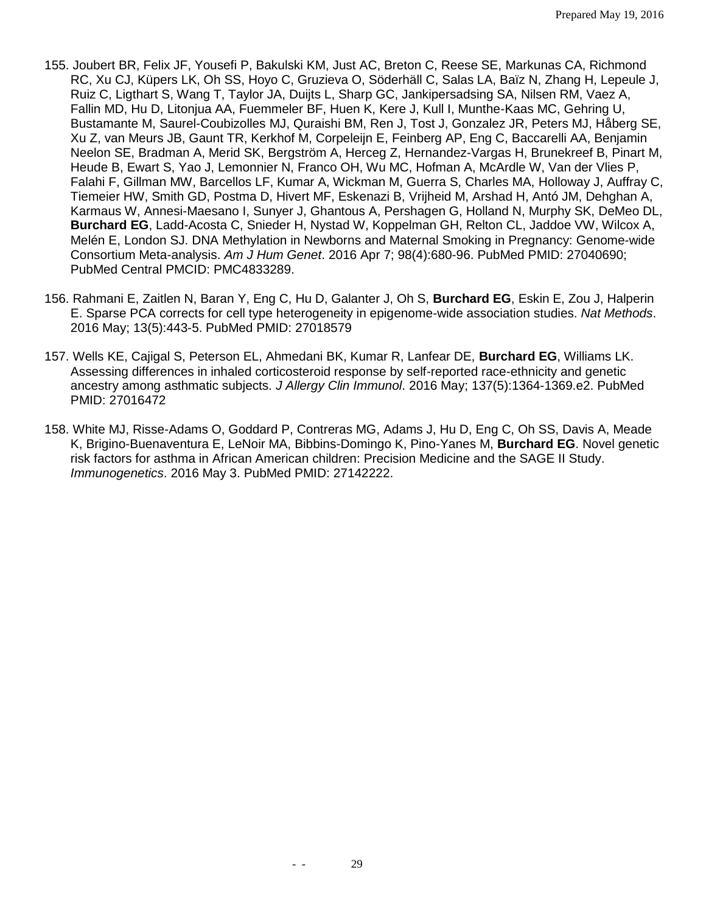- 155. Joubert BR, Felix JF, Yousefi P, Bakulski KM, Just AC, Breton C, Reese SE, Markunas CA, Richmond RC, Xu CJ, Küpers LK, Oh SS, Hoyo C, Gruzieva O, Söderhäll C, Salas LA, Baïz N, Zhang H, Lepeule J, Ruiz C, Ligthart S, Wang T, Taylor JA, Duijts L, Sharp GC, Jankipersadsing SA, Nilsen RM, Vaez A, Fallin MD, Hu D, Litonjua AA, Fuemmeler BF, Huen K, Kere J, Kull I, Munthe-Kaas MC, Gehring U, Bustamante M, Saurel-Coubizolles MJ, Quraishi BM, Ren J, Tost J, Gonzalez JR, Peters MJ, Håberg SE, Xu Z, van Meurs JB, Gaunt TR, Kerkhof M, Corpeleijn E, Feinberg AP, Eng C, Baccarelli AA, Benjamin Neelon SE, Bradman A, Merid SK, Bergström A, Herceg Z, Hernandez-Vargas H, Brunekreef B, Pinart M, Heude B, Ewart S, Yao J, Lemonnier N, Franco OH, Wu MC, Hofman A, McArdle W, Van der Vlies P, Falahi F, Gillman MW, Barcellos LF, Kumar A, Wickman M, Guerra S, Charles MA, Holloway J, Auffray C, Tiemeier HW, Smith GD, Postma D, Hivert MF, Eskenazi B, Vrijheid M, Arshad H, Antó JM, Dehghan A, Karmaus W, Annesi-Maesano I, Sunyer J, Ghantous A, Pershagen G, Holland N, Murphy SK, DeMeo DL, **Burchard EG**, Ladd-Acosta C, Snieder H, Nystad W, Koppelman GH, Relton CL, Jaddoe VW, Wilcox A, Melén E, London SJ. DNA Methylation in Newborns and Maternal Smoking in Pregnancy: Genome-wide Consortium Meta-analysis. *Am J Hum Genet*. 2016 Apr 7; 98(4):680-96. PubMed PMID: 27040690; PubMed Central PMCID: PMC4833289.
- 156. Rahmani E, Zaitlen N, Baran Y, Eng C, Hu D, Galanter J, Oh S, **Burchard EG**, Eskin E, Zou J, Halperin E. Sparse PCA corrects for cell type heterogeneity in epigenome-wide association studies. *Nat Methods*. 2016 May; 13(5):443-5. PubMed PMID: 27018579
- 157. Wells KE, Cajigal S, Peterson EL, Ahmedani BK, Kumar R, Lanfear DE, **Burchard EG**, Williams LK. Assessing differences in inhaled corticosteroid response by self-reported race-ethnicity and genetic ancestry among asthmatic subjects. *J Allergy Clin Immunol*. 2016 May; 137(5):1364-1369.e2. PubMed PMID: 27016472
- 158. White MJ, Risse-Adams O, Goddard P, Contreras MG, Adams J, Hu D, Eng C, Oh SS, Davis A, Meade K, Brigino-Buenaventura E, LeNoir MA, Bibbins-Domingo K, Pino-Yanes M, **Burchard EG**. Novel genetic risk factors for asthma in African American children: Precision Medicine and the SAGE II Study. *Immunogenetics*. 2016 May 3. PubMed PMID: 27142222.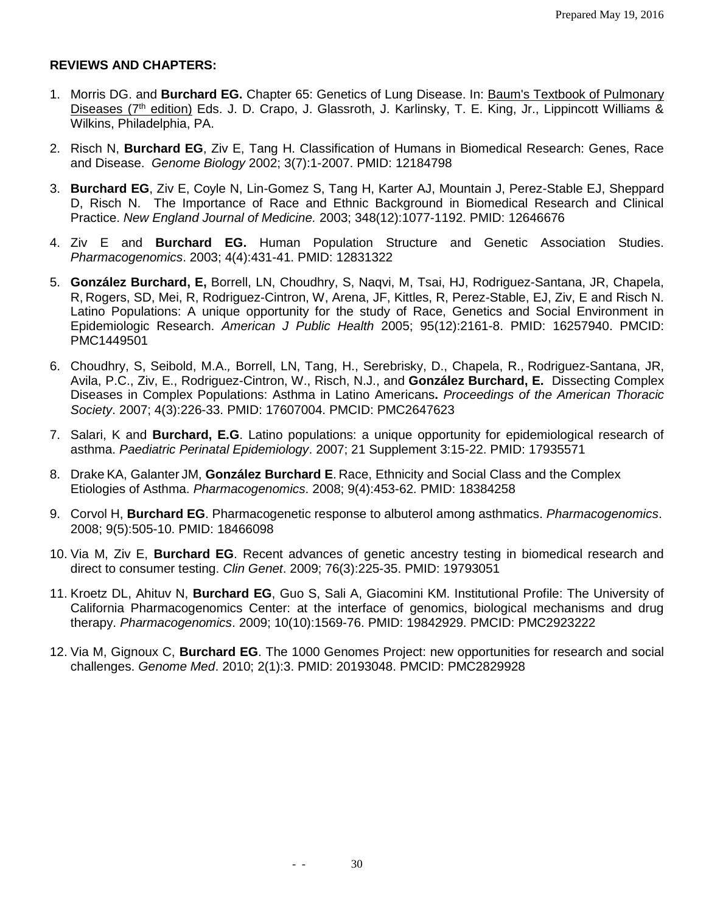# **REVIEWS AND CHAPTERS:**

- 1. Morris DG. and **Burchard EG.** Chapter 65: Genetics of Lung Disease. In: Baum's Textbook of Pulmonary Diseases (7<sup>th</sup> edition) Eds. J. D. Crapo, J. Glassroth, J. Karlinsky, T. E. King, Jr., Lippincott Williams & Wilkins, Philadelphia, PA.
- 2. Risch N, **Burchard EG**, Ziv E, Tang H. Classification of Humans in Biomedical Research: Genes, Race and Disease. *Genome Biology* 2002; 3(7):1-2007. PMID: 12184798
- 3. **Burchard EG**, Ziv E, Coyle N, Lin-Gomez S, Tang H, Karter AJ, Mountain J, Perez-Stable EJ, Sheppard D, Risch N. The Importance of Race and Ethnic Background in Biomedical Research and Clinical Practice. *New England Journal of Medicine.* 2003; 348(12):1077-1192. PMID: 12646676
- 4. Ziv E and **Burchard EG.** Human Population Structure and Genetic Association Studies. *Pharmacogenomics*. 2003; 4(4):431-41. PMID: 12831322
- 5. **González Burchard, E,** Borrell, LN, Choudhry, S, Naqvi, M, Tsai, HJ, Rodriguez-Santana, JR, Chapela, R, Rogers, SD, Mei, R, Rodriguez-Cintron, W, Arena, JF, Kittles, R, Perez-Stable, EJ, Ziv, E and Risch N. Latino Populations: A unique opportunity for the study of Race, Genetics and Social Environment in Epidemiologic Research. *American J Public Health* 2005; 95(12):2161-8. PMID: 16257940. PMCID: PMC1449501
- 6. Choudhry, S, Seibold, M.A.*,* Borrell, LN, Tang, H., Serebrisky, D., Chapela, R., Rodriguez-Santana, JR, Avila, P.C., Ziv, E., Rodriguez-Cintron, W., Risch, N.J., and **González Burchard, E.** Dissecting Complex Diseases in Complex Populations: Asthma in Latino Americans**.** *Proceedings of the American Thoracic Society*. 2007; 4(3):226-33. PMID: 17607004. PMCID: PMC2647623
- 7. Salari, K and **Burchard, E.G**. Latino populations: a unique opportunity for epidemiological research of asthma. *Paediatric Perinatal Epidemiology*. 2007; 21 Supplement 3:15-22. PMID: 17935571
- 8. Drake KA, Galanter JM, **González Burchard E**. Race, Ethnicity and Social Class and the Complex Etiologies of Asthma. *Pharmacogenomics*. 2008; 9(4):453-62. PMID: 18384258
- 9. Corvol H, **Burchard EG**. Pharmacogenetic response to albuterol among asthmatics. *Pharmacogenomics*. 2008; 9(5):505-10. PMID: 18466098
- 10. Via M, Ziv E, **Burchard EG**. Recent advances of genetic ancestry testing in biomedical research and direct to consumer testing. *Clin Genet*. 2009; 76(3):225-35. PMID: 19793051
- 11. Kroetz DL, Ahituv N, **Burchard EG**, Guo S, Sali A, Giacomini KM. Institutional Profile: The University of California Pharmacogenomics Center: at the interface of genomics, biological mechanisms and drug therapy. *Pharmacogenomics*. 2009; 10(10):1569-76. PMID: 19842929. PMCID: PMC2923222
- 12. Via M, Gignoux C, **Burchard EG**. The 1000 Genomes Project: new opportunities for research and social challenges. *Genome Med*. 2010; 2(1):3. PMID: 20193048. PMCID: PMC2829928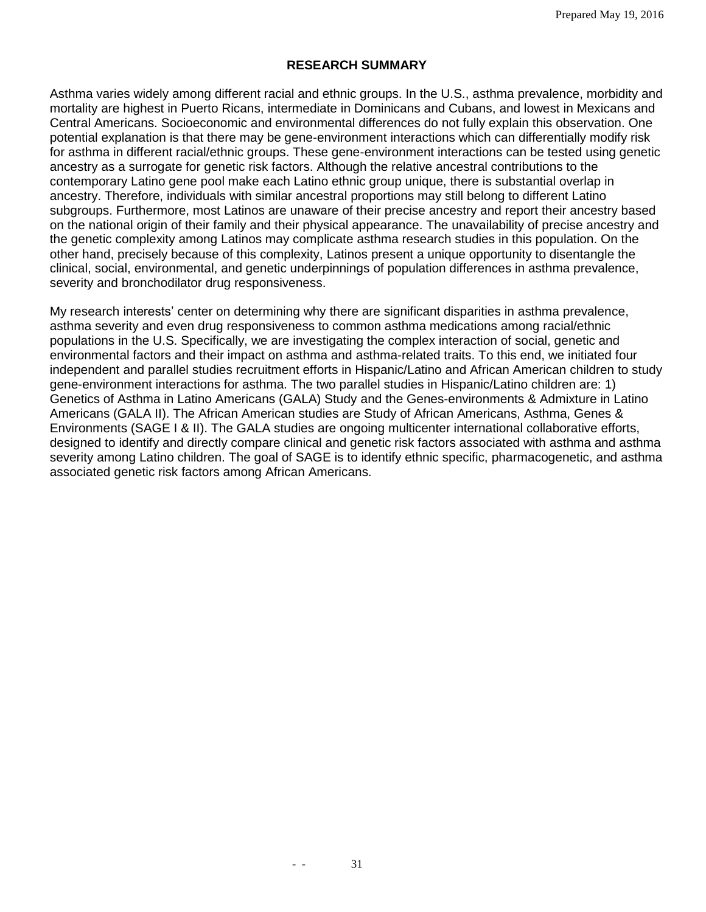#### **RESEARCH SUMMARY**

Asthma varies widely among different racial and ethnic groups. In the U.S., asthma prevalence, morbidity and mortality are highest in Puerto Ricans, intermediate in Dominicans and Cubans, and lowest in Mexicans and Central Americans. Socioeconomic and environmental differences do not fully explain this observation. One potential explanation is that there may be gene-environment interactions which can differentially modify risk for asthma in different racial/ethnic groups. These gene-environment interactions can be tested using genetic ancestry as a surrogate for genetic risk factors. Although the relative ancestral contributions to the contemporary Latino gene pool make each Latino ethnic group unique, there is substantial overlap in ancestry. Therefore, individuals with similar ancestral proportions may still belong to different Latino subgroups. Furthermore, most Latinos are unaware of their precise ancestry and report their ancestry based on the national origin of their family and their physical appearance. The unavailability of precise ancestry and the genetic complexity among Latinos may complicate asthma research studies in this population. On the other hand, precisely because of this complexity, Latinos present a unique opportunity to disentangle the clinical, social, environmental, and genetic underpinnings of population differences in asthma prevalence, severity and bronchodilator drug responsiveness.

My research interests' center on determining why there are significant disparities in asthma prevalence, asthma severity and even drug responsiveness to common asthma medications among racial/ethnic populations in the U.S. Specifically, we are investigating the complex interaction of social, genetic and environmental factors and their impact on asthma and asthma-related traits. To this end, we initiated four independent and parallel studies recruitment efforts in Hispanic/Latino and African American children to study gene-environment interactions for asthma. The two parallel studies in Hispanic/Latino children are: 1) Genetics of Asthma in Latino Americans (GALA) Study and the Genes-environments & Admixture in Latino Americans (GALA II). The African American studies are Study of African Americans, Asthma, Genes & Environments (SAGE I & II). The GALA studies are ongoing multicenter international collaborative efforts, designed to identify and directly compare clinical and genetic risk factors associated with asthma and asthma severity among Latino children. The goal of SAGE is to identify ethnic specific, pharmacogenetic, and asthma associated genetic risk factors among African Americans.